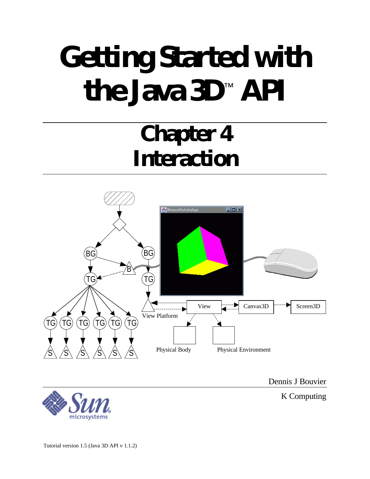# **Getting Started with the Java 3D**™  **API**

## **Chapter 4 Interaction**



Dennis J Bouvier

K Computing

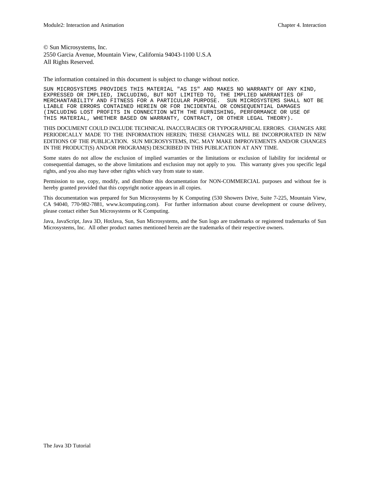© Sun Microsystems, Inc. 2550 Garcia Avenue, Mountain View, California 94043-1100 U.S.A All Rights Reserved.

The information contained in this document is subject to change without notice.

SUN MICROSYSTEMS PROVIDES THIS MATERIAL "AS IS" AND MAKES NO WARRANTY OF ANY KIND, EXPRESSED OR IMPLIED, INCLUDING, BUT NOT LIMITED TO, THE IMPLIED WARRANTIES OF MERCHANTABILITY AND FITNESS FOR A PARTICULAR PURPOSE. SUN MICROSYSTEMS SHALL NOT BE LIABLE FOR ERRORS CONTAINED HEREIN OR FOR INCIDENTAL OR CONSEQUENTIAL DAMAGES (INCLUDING LOST PROFITS IN CONNECTION WITH THE FURNISHING, PERFORMANCE OR USE OF THIS MATERIAL, WHETHER BASED ON WARRANTY, CONTRACT, OR OTHER LEGAL THEORY).

THIS DOCUMENT COULD INCLUDE TECHNICAL INACCURACIES OR TYPOGRAPHICAL ERRORS. CHANGES ARE PERIODICALLY MADE TO THE INFORMATION HEREIN; THESE CHANGES WILL BE INCORPORATED IN NEW EDITIONS OF THE PUBLICATION. SUN MICROSYSTEMS, INC. MAY MAKE IMPROVEMENTS AND/OR CHANGES IN THE PRODUCT(S) AND/OR PROGRAM(S) DESCRIBED IN THIS PUBLICATION AT ANY TIME.

Some states do not allow the exclusion of implied warranties or the limitations or exclusion of liability for incidental or consequential damages, so the above limitations and exclusion may not apply to you. This warranty gives you specific legal rights, and you also may have other rights which vary from state to state.

Permission to use, copy, modify, and distribute this documentation for NON-COMMERCIAL purposes and without fee is hereby granted provided that this copyright notice appears in all copies.

This documentation was prepared for Sun Microsystems by K Computing (530 Showers Drive, Suite 7-225, Mountain View, CA 94040, 770-982-7881, www.kcomputing.com). For further information about course development or course delivery, please contact either Sun Microsystems or K Computing.

Java, JavaScript, Java 3D, HotJava, Sun, Sun Microsystems, and the Sun logo are trademarks or registered trademarks of Sun Microsystems, Inc. All other product names mentioned herein are the trademarks of their respective owners.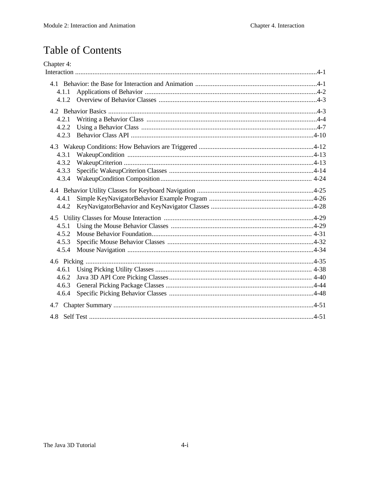## **Table of Contents**

| Chapter 4:     |  |
|----------------|--|
|                |  |
|                |  |
| 4.1.1          |  |
| 4.1.2          |  |
|                |  |
| 4.2.1          |  |
| 4.2.2          |  |
| 4.2.3          |  |
|                |  |
|                |  |
| 4.3.1<br>4.3.2 |  |
| 4.3.3          |  |
| 4.3.4          |  |
|                |  |
|                |  |
| 4.4.1          |  |
| 4.4.2          |  |
|                |  |
| 4.5.1          |  |
| 4.5.2          |  |
| 4.5.3          |  |
| 4.5.4          |  |
|                |  |
| 4.6.1          |  |
| 4.6.2          |  |
| 4.6.3          |  |
| 4.6.4          |  |
|                |  |
|                |  |
|                |  |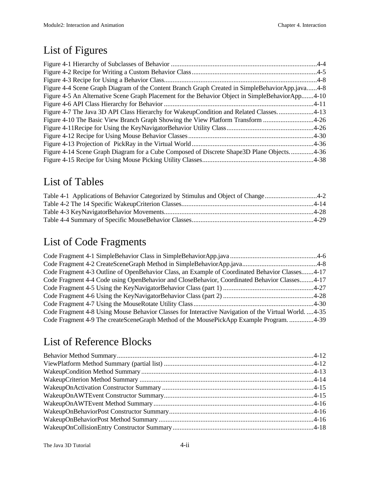## List of Figures

| Figure 4-4 Scene Graph Diagram of the Content Branch Graph Created in SimpleBehaviorApp.java4-8  |  |
|--------------------------------------------------------------------------------------------------|--|
| Figure 4-5 An Alternative Scene Graph Placement for the Behavior Object in SimpleBehaviorApp4-10 |  |
|                                                                                                  |  |
| Figure 4-7 The Java 3D API Class Hierarchy for WakeupCondition and Related Classes4-13           |  |
| Figure 4-10 The Basic View Branch Graph Showing the View Platform Transform 4-26                 |  |
|                                                                                                  |  |
|                                                                                                  |  |
|                                                                                                  |  |
| Figure 4-14 Scene Graph Diagram for a Cube Composed of Discrete Shape 3D Plane Objects4-36       |  |
|                                                                                                  |  |
|                                                                                                  |  |

### List of Tables

| Table 4-1 Applications of Behavior Categorized by Stimulus and Object of Change4-2 |  |
|------------------------------------------------------------------------------------|--|
|                                                                                    |  |
|                                                                                    |  |
|                                                                                    |  |

## List of Code Fragments

| Code Fragment 4-3 Outline of OpenBehavior Class, an Example of Coordinated Behavior Classes4-17       |  |
|-------------------------------------------------------------------------------------------------------|--|
| Code Fragment 4-4 Code using OpenBehavior and CloseBehavior, Coordinated Behavior Classes4-17         |  |
|                                                                                                       |  |
|                                                                                                       |  |
|                                                                                                       |  |
| Code Fragment 4-8 Using Mouse Behavior Classes for Interactive Navigation of the Virtual World.  4-35 |  |
| Code Fragment 4-9 The createSceneGraph Method of the MousePickApp Example Program4-39                 |  |

## List of Reference Blocks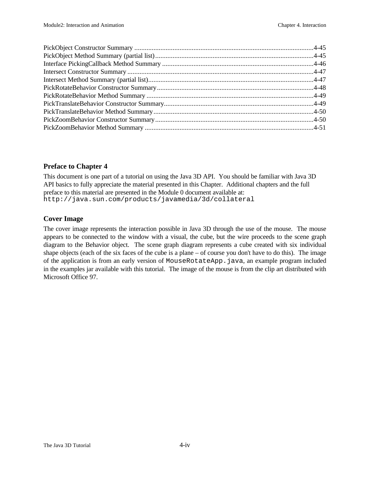#### **Preface to Chapter 4**

This document is one part of a tutorial on using the Java 3D API. You should be familiar with Java 3D API basics to fully appreciate the material presented in this Chapter. Additional chapters and the full preface to this material are presented in the Module 0 document available at: http://java.sun.com/products/javamedia/3d/collateral

#### **Cover Image**

The cover image represents the interaction possible in Java 3D through the use of the mouse. The mouse appears to be connected to the window with a visual, the cube, but the wire proceeds to the scene graph diagram to the Behavior object. The scene graph diagram represents a cube created with six individual shape objects (each of the six faces of the cube is a plane – of course you don't have to do this). The image of the application is from an early version of MouseRotateApp.java, an example program included in the examples jar available with this tutorial. The image of the mouse is from the clip art distributed with Microsoft Office 97.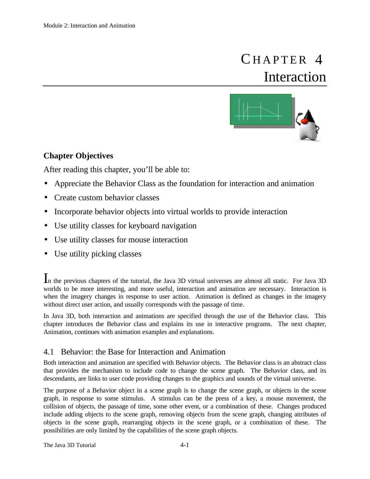## CHAPTER 4 Interaction



#### **Chapter Objectives**

After reading this chapter, you'll be able to:

- Appreciate the Behavior Class as the foundation for interaction and animation
- Create custom behavior classes
- Incorporate behavior objects into virtual worlds to provide interaction
- Use utility classes for keyboard navigation
- Use utility classes for mouse interaction
- Use utility picking classes

In the previous chapters of the tutorial, the Java 3D virtual universes are almost all static. For Java 3D worlds to be more interesting, and more useful, interaction and animation are necessary. Interaction is when the imagery changes in response to user action. Animation is defined as changes in the imagery without direct user action, and usually corresponds with the passage of time.

In Java 3D, both interaction and animations are specified through the use of the Behavior class. This chapter introduces the Behavior class and explains its use in interactive programs. The next chapter, Animation, continues with animation examples and explanations.

#### 4.1 Behavior: the Base for Interaction and Animation

Both interaction and animation are specified with Behavior objects. The Behavior class is an abstract class that provides the mechanism to include code to change the scene graph. The Behavior class, and its descendants, are links to user code providing changes to the graphics and sounds of the virtual universe.

The purpose of a Behavior object in a scene graph is to change the scene graph, or objects in the scene graph, in response to some stimulus. A stimulus can be the press of a key, a mouse movement, the collision of objects, the passage of time, some other event, or a combination of these. Changes produced include adding objects to the scene graph, removing objects from the scene graph, changing attributes of objects in the scene graph, rearranging objects in the scene graph, or a combination of these. The possibilities are only limited by the capabilities of the scene graph objects.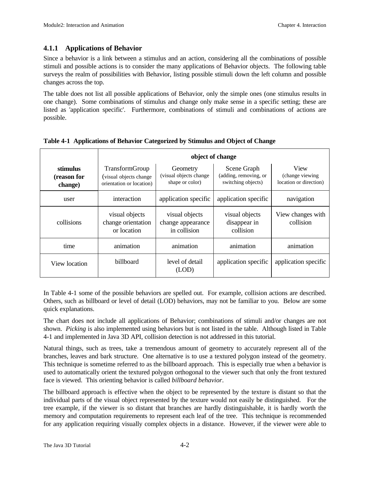#### **4.1.1 Applications of Behavior**

Since a behavior is a link between a stimulus and an action, considering all the combinations of possible stimuli and possible actions is to consider the many applications of Behavior objects. The following table surveys the realm of possibilities with Behavior, listing possible stimuli down the left column and possible changes across the top.

The table does not list all possible applications of Behavior, only the simple ones (one stimulus results in one change). Some combinations of stimulus and change only make sense in a specific setting; these are listed as 'application specific'. Furthermore, combinations of stimuli and combinations of actions are possible.

|                                    | object of change                                                     |                                                       |                                                            |                                                    |  |
|------------------------------------|----------------------------------------------------------------------|-------------------------------------------------------|------------------------------------------------------------|----------------------------------------------------|--|
| stimulus<br>(reason for<br>change) | TransformGroup<br>(visual objects change<br>orientation or location) | Geometry<br>(visual objects change<br>shape or color) | Scene Graph<br>(adding, removing, or<br>switching objects) | View<br>(change viewing)<br>location or direction) |  |
| user                               | interaction                                                          | application specific                                  | application specific                                       | navigation                                         |  |
| collisions                         | visual objects<br>change orientation<br>or location                  | visual objects<br>change appearance<br>in collision   | visual objects<br>disappear in<br>collision                | View changes with<br>collision                     |  |
| time                               | animation                                                            | animation                                             | animation                                                  | animation                                          |  |
| View location                      | <b>billboard</b>                                                     | level of detail<br>(LOD)                              | application specific                                       | application specific                               |  |

**Table 4-1 Applications of Behavior Categorized by Stimulus and Object of Change**

In Table 4-1 some of the possible behaviors are spelled out. For example, collision actions are described. Others, such as billboard or level of detail (LOD) behaviors, may not be familiar to you. Below are some quick explanations.

The chart does not include all applications of Behavior; combinations of stimuli and/or changes are not shown. *Picking* is also implemented using behaviors but is not listed in the table. Although listed in Table 4-1 and implemented in Java 3D API, collision detection is not addressed in this tutorial.

Natural things, such as trees, take a tremendous amount of geometry to accurately represent all of the branches, leaves and bark structure. One alternative is to use a textured polygon instead of the geometry. This technique is sometime referred to as the billboard approach. This is especially true when a behavior is used to automatically orient the textured polygon orthogonal to the viewer such that only the front textured face is viewed. This orienting behavior is called *billboard behavior*.

The billboard approach is effective when the object to be represented by the texture is distant so that the individual parts of the visual object represented by the texture would not easily be distinguished. For the tree example, if the viewer is so distant that branches are hardly distinguishable, it is hardly worth the memory and computation requirements to represent each leaf of the tree. This technique is recommended for any application requiring visually complex objects in a distance. However, if the viewer were able to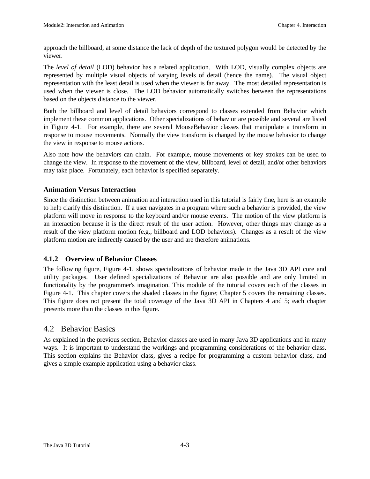approach the billboard, at some distance the lack of depth of the textured polygon would be detected by the viewer.

The *level of detail* (LOD) behavior has a related application. With LOD, visually complex objects are represented by multiple visual objects of varying levels of detail (hence the name). The visual object representation with the least detail is used when the viewer is far away. The most detailed representation is used when the viewer is close. The LOD behavior automatically switches between the representations based on the objects distance to the viewer.

Both the billboard and level of detail behaviors correspond to classes extended from Behavior which implement these common applications. Other specializations of behavior are possible and several are listed in Figure 4-1. For example, there are several MouseBehavior classes that manipulate a transform in response to mouse movements. Normally the view transform is changed by the mouse behavior to change the view in response to mouse actions.

Also note how the behaviors can chain. For example, mouse movements or key strokes can be used to change the view. In response to the movement of the view, billboard, level of detail, and/or other behaviors may take place. Fortunately, each behavior is specified separately.

#### **Animation Versus Interaction**

Since the distinction between animation and interaction used in this tutorial is fairly fine, here is an example to help clarify this distinction. If a user navigates in a program where such a behavior is provided, the view platform will move in response to the keyboard and/or mouse events. The motion of the view platform is an interaction because it is the direct result of the user action. However, other things may change as a result of the view platform motion (e.g., billboard and LOD behaviors). Changes as a result of the view platform motion are indirectly caused by the user and are therefore animations.

#### **4.1.2 Overview of Behavior Classes**

The following figure, Figure 4-1, shows specializations of behavior made in the Java 3D API core and utility packages. User defined specializations of Behavior are also possible and are only limited in functionality by the programmer's imagination. This module of the tutorial covers each of the classes in Figure 4-1. This chapter covers the shaded classes in the figure; Chapter 5 covers the remaining classes. This figure does not present the total coverage of the Java 3D API in Chapters 4 and 5; each chapter presents more than the classes in this figure.

#### 4.2 Behavior Basics

As explained in the previous section, Behavior classes are used in many Java 3D applications and in many ways. It is important to understand the workings and programming considerations of the behavior class. This section explains the Behavior class, gives a recipe for programming a custom behavior class, and gives a simple example application using a behavior class.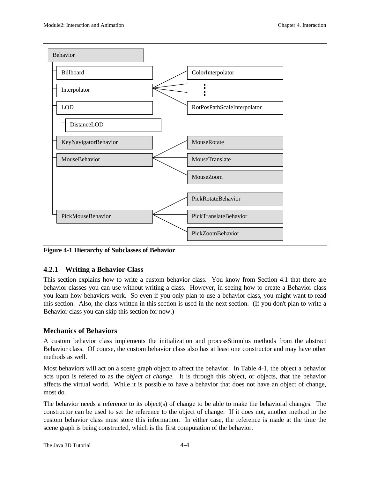

**Figure 4-1 Hierarchy of Subclasses of Behavior**

#### **4.2.1 Writing a Behavior Class**

This section explains how to write a custom behavior class. You know from Section 4.1 that there are behavior classes you can use without writing a class. However, in seeing how to create a Behavior class you learn how behaviors work. So even if you only plan to use a behavior class, you might want to read this section. Also, the class written in this section is used in the next section. (If you don't plan to write a Behavior class you can skip this section for now.)

#### **Mechanics of Behaviors**

A custom behavior class implements the initialization and processStimulus methods from the abstract Behavior class. Of course, the custom behavior class also has at least one constructor and may have other methods as well.

Most behaviors will act on a scene graph object to affect the behavior. In Table 4-1, the object a behavior acts upon is refered to as the *object of change*. It is through this object, or objects, that the behavior affects the virtual world. While it is possible to have a behavior that does not have an object of change, most do.

The behavior needs a reference to its object(s) of change to be able to make the behavioral changes. The constructor can be used to set the reference to the object of change. If it does not, another method in the custom behavior class must store this information. In either case, the reference is made at the time the scene graph is being constructed, which is the first computation of the behavior.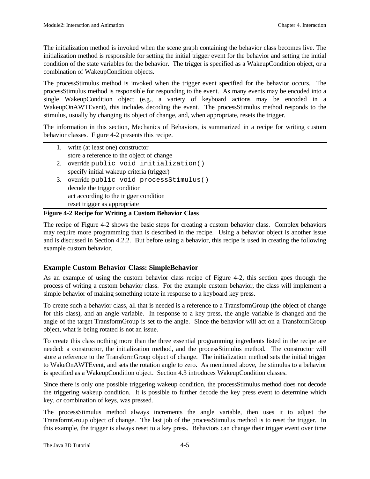The initialization method is invoked when the scene graph containing the behavior class becomes live. The initialization method is responsible for setting the initial trigger event for the behavior and setting the initial condition of the state variables for the behavior. The trigger is specified as a WakeupCondition object, or a combination of WakeupCondition objects.

The processStimulus method is invoked when the trigger event specified for the behavior occurs. The processStimulus method is responsible for responding to the event. As many events may be encoded into a single WakeupCondition object (e.g., a variety of keyboard actions may be encoded in a WakeupOnAWTEvent), this includes decoding the event. The processStimulus method responds to the stimulus, usually by changing its object of change, and, when appropriate, resets the trigger.

The information in this section, Mechanics of Behaviors, is summarized in a recipe for writing custom behavior classes. Figure 4-2 presents this recipe.

| 1. write (at least one) constructor       |  |  |
|-------------------------------------------|--|--|
| store a reference to the object of change |  |  |
| 2. override public void initialization()  |  |  |
| specify initial wakeup criteria (trigger) |  |  |
| 3. override public void processStimulus() |  |  |
| decode the trigger condition              |  |  |
| act according to the trigger condition    |  |  |
| reset trigger as appropriate              |  |  |

#### **Figure 4-2 Recipe for Writing a Custom Behavior Class**

The recipe of Figure 4-2 shows the basic steps for creating a custom behavior class. Complex behaviors may require more programming than is described in the recipe. Using a behavior object is another issue and is discussed in Section 4.2.2. But before using a behavior, this recipe is used in creating the following example custom behavior.

#### **Example Custom Behavior Class: SimpleBehavior**

As an example of using the custom behavior class recipe of Figure 4-2, this section goes through the process of writing a custom behavior class. For the example custom behavior, the class will implement a simple behavior of making something rotate in response to a keyboard key press.

To create such a behavior class, all that is needed is a reference to a TransformGroup (the object of change for this class), and an angle variable. In response to a key press, the angle variable is changed and the angle of the target TransformGroup is set to the angle. Since the behavior will act on a TransformGroup object, what is being rotated is not an issue.

To create this class nothing more than the three essential programming ingredients listed in the recipe are needed: a constructor, the initialization method, and the processStimulus method. The constructor will store a reference to the TransformGroup object of change. The initialization method sets the initial trigger to WakeOnAWTEvent, and sets the rotation angle to zero. As mentioned above, the stimulus to a behavior is specified as a WakeupCondition object. Section 4.3 introduces WakeupCondition classes.

Since there is only one possible triggering wakeup condition, the processStimulus method does not decode the triggering wakeup condition. It is possible to further decode the key press event to determine which key, or combination of keys, was pressed.

The processStimulus method always increments the angle variable, then uses it to adjust the TransformGroup object of change. The last job of the processStimulus method is to reset the trigger. In this example, the trigger is always reset to a key press. Behaviors can change their trigger event over time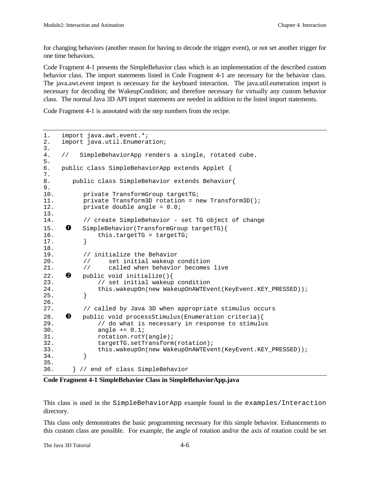for changing behaviors (another reason for having to decode the trigger event), or not set another trigger for one time behaviors.

Code Fragment 4-1 presents the SimpleBehavior class which is an implementation of the described custom behavior class. The import statements listed in Code Fragment 4-1 are necessary for the behavior class. The java.awt.event import is necessary for the keyboard interaction. The java.util.eumeration import is necessary for decoding the WakeupCondition; and therefore necessary for virtually any custom behavior class. The normal Java 3D API import statements are needed in addition to the listed import statements.

Code Fragment 4-1 is annotated with the step numbers from the recipe.

```
1. import java.awt.event.*;
2. import java.util.Enumeration;
3.
4. // SimpleBehaviorApp renders a single, rotated cube.
5.
6. public class SimpleBehaviorApp extends Applet {
7.
8. public class SimpleBehavior extends Behavior{
9.
10. private TransformGroup targetTG;
11. private Transform3D rotation = new Transform3D();
12. private double angle = 0.0;
13.
14. // create SimpleBehavior - set TG object of change
15. \bullet SimpleBehavior(TransformGroup targetTG){
16. this.targetTG = targetTG;
17. }
18.
19. // initialize the Behavior
20. // set initial wakeup condition
21. // called when behavior becomes live
22. \bullet public void initialize(){
23. // set initial wakeup condition
24. this.wakeupOn(new WakeupOnAWTEvent(KeyEvent.KEY_PRESSED));<br>25. \}25.26.
27. // called by Java 3D when appropriate stimulus occurs
28. \bullet public void processStimulus(Enumeration criteria){<br>29. \prime do what is necessary in response to stimulu
              // do what is necessary in response to stimulus
30. angle += 0.1;
31. rotation.rotY(angle);
32. targetTG.setTransform(rotation);
33. this.wakeupOn(new WakeupOnAWTEvent(KeyEvent.KEY_PRESSED));<br>34. }
34. }
35.36.36. } // end of class SimpleBehavior
```
**Code Fragment 4-1 SimpleBehavior Class in SimpleBehaviorApp.java**

This class is used in the SimpleBehaviorApp example found in the examples/Interaction directory.

This class only demonstrates the basic programming necessary for this simple behavior. Enhancements to this custom class are possible. For example, the angle of rotation and/or the axis of rotation could be set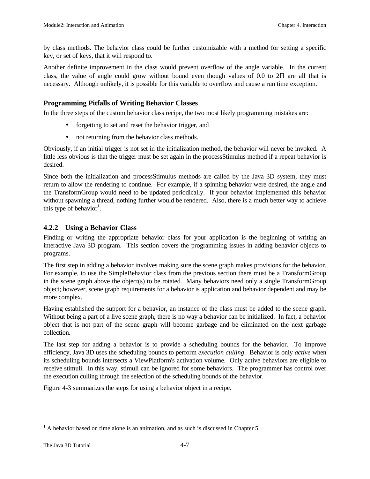by class methods. The behavior class could be further customizable with a method for setting a specific key, or set of keys, that it will respond to.

Another definite improvement in the class would prevent overflow of the angle variable. In the current class, the value of angle could grow without bound even though values of 0.0 to 2Π are all that is necessary. Although unlikely, it is possible for this variable to overflow and cause a run time exception.

#### **Programming Pitfalls of Writing Behavior Classes**

In the three steps of the custom behavior class recipe, the two most likely programming mistakes are:

- forgetting to set and reset the behavior trigger, and
- not returning from the behavior class methods.

Obviously, if an initial trigger is not set in the initialization method, the behavior will never be invoked. A little less obvious is that the trigger must be set again in the processStimulus method if a repeat behavior is desired.

Since both the initialization and processStimulus methods are called by the Java 3D system, they must return to allow the rendering to continue. For example, if a spinning behavior were desired, the angle and the TransformGroup would need to be updated periodically. If your behavior implemented this behavior without spawning a thread, nothing further would be rendered. Also, there is a much better way to achieve this type of behavior<sup>1</sup>.

#### **4.2.2 Using a Behavior Class**

Finding or writing the appropriate behavior class for your application is the beginning of writing an interactive Java 3D program. This section covers the programming issues in adding behavior objects to programs.

The first step in adding a behavior involves making sure the scene graph makes provisions for the behavior. For example, to use the SimpleBehavior class from the previous section there must be a TransformGroup in the scene graph above the object(s) to be rotated. Many behaviors need only a single TransformGroup object; however, scene graph requirements for a behavior is application and behavior dependent and may be more complex.

Having established the support for a behavior, an instance of the class must be added to the scene graph. Without being a part of a live scene graph, there is no way a behavior can be initialized. In fact, a behavior object that is not part of the scene graph will become garbage and be eliminated on the next garbage collection.

The last step for adding a behavior is to provide a scheduling bounds for the behavior. To improve efficiency, Java 3D uses the scheduling bounds to perform *execution culling*. Behavior is only *active* when its scheduling bounds intersects a ViewPlatform's activation volume. Only active behaviors are eligible to receive stimuli. In this way, stimuli can be ignored for some behaviors. The programmer has control over the execution culling through the selection of the scheduling bounds of the behavior.

Figure 4-3 summarizes the steps for using a behavior object in a recipe.

<u>.</u>

 $<sup>1</sup>$  A behavior based on time alone is an animation, and as such is discussed in Chapter 5.</sup>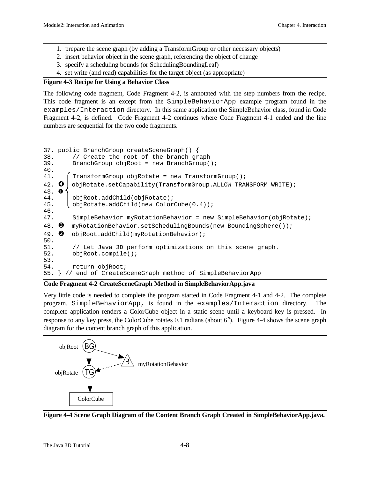- 1. prepare the scene graph (by adding a TransformGroup or other necessary objects)
- 2. insert behavior object in the scene graph, referencing the object of change
- 3. specify a scheduling bounds (or SchedulingBoundingLeaf)
- 4. set write (and read) capabilities for the target object (as appropriate)

#### **Figure 4-3 Recipe for Using a Behavior Class**

The following code fragment, Code Fragment 4-2, is annotated with the step numbers from the recipe. This code fragment is an except from the SimpleBehaviorApp example program found in the examples/Interaction directory. In this same application the SimpleBehavior class, found in Code Fragment 4-2, is defined. Code Fragment 4-2 continues where Code Fragment 4-1 ended and the line numbers are sequential for the two code fragments.

```
37. public BranchGroup createSceneGraph() {
38. // Create the root of the branch graph<br>39. BranchGroup objRoot = new BranchGroup(
        BranchGroup objRoot = new BranchGroup();
40.
41. \int TransformGroup objRotate = new TransformGroup();
42. \bullet objRotate.setCapability(TransformGroup.ALLOW_TRANSFORM_WRITE);
43. å
44. objRoot.addChild(objRotate);
45. objRotate.addChild(new ColorCube(0.4));
46.
47. SimpleBehavior myRotationBehavior = new SimpleBehavior(objRotate);
48. \Theta myRotationBehavior.setSchedulingBounds(new BoundingSphere());
49. \bullet objRoot.addChild(myRotationBehavior);
50.
51. // Let Java 3D perform optimizations on this scene graph.
52. objRoot.compile();
53.
54. return objRoot;
55. } // end of CreateSceneGraph method of SimpleBehaviorApp
```
#### **Code Fragment 4-2 CreateSceneGraph Method in SimpleBehaviorApp.java**

Very little code is needed to complete the program started in Code Fragment 4-1 and 4-2. The complete program, SimpleBehaviorApp, is found in the examples/Interaction directory. The complete application renders a ColorCube object in a static scene until a keyboard key is pressed. In response to any key press, the ColorCube rotates 0.1 radians (about 6°). Figure 4-4 shows the scene graph diagram for the content branch graph of this application.



**Figure 4-4 Scene Graph Diagram of the Content Branch Graph Created in SimpleBehaviorApp.java.**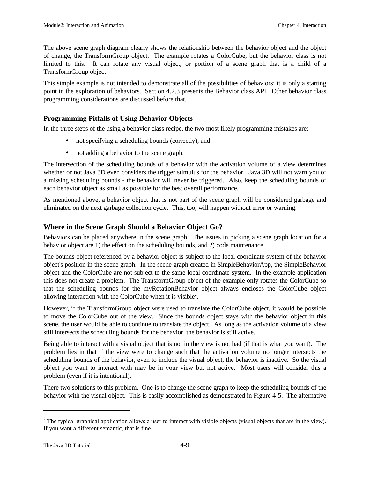The above scene graph diagram clearly shows the relationship between the behavior object and the object of change, the TransformGroup object. The example rotates a ColorCube, but the behavior class is not limited to this. It can rotate any visual object, or portion of a scene graph that is a child of a TransformGroup object.

This simple example is not intended to demonstrate all of the possibilities of behaviors; it is only a starting point in the exploration of behaviors. Section 4.2.3 presents the Behavior class API. Other behavior class programming considerations are discussed before that.

#### **Programming Pitfalls of Using Behavior Objects**

In the three steps of the using a behavior class recipe, the two most likely programming mistakes are:

- not specifying a scheduling bounds (correctly), and
- not adding a behavior to the scene graph.

The intersection of the scheduling bounds of a behavior with the activation volume of a view determines whether or not Java 3D even considers the trigger stimulus for the behavior. Java 3D will not warn you of a missing scheduling bounds - the behavior will never be triggered. Also, keep the scheduling bounds of each behavior object as small as possible for the best overall performance.

As mentioned above, a behavior object that is not part of the scene graph will be considered garbage and eliminated on the next garbage collection cycle. This, too, will happen without error or warning.

#### **Where in the Scene Graph Should a Behavior Object Go?**

Behaviors can be placed anywhere in the scene graph. The issues in picking a scene graph location for a behavior object are 1) the effect on the scheduling bounds, and 2) code maintenance.

The bounds object referenced by a behavior object is subject to the local coordinate system of the behavior object's position in the scene graph. In the scene graph created in SimpleBehaviorApp, the SimpleBehavior object and the ColorCube are not subject to the same local coordinate system. In the example application this does not create a problem. The TransformGroup object of the example only rotates the ColorCube so that the scheduling bounds for the myRotationBehavior object always encloses the ColorCube object allowing interaction with the ColorCube when it is visible<sup>2</sup>.

However, if the TransformGroup object were used to translate the ColorCube object, it would be possible to move the ColorCube out of the view. Since the bounds object stays with the behavior object in this scene, the user would be able to continue to translate the object. As long as the activation volume of a view still intersects the scheduling bounds for the behavior, the behavior is still active.

Being able to interact with a visual object that is not in the view is not bad (if that is what you want). The problem lies in that if the view were to change such that the activation volume no longer intersects the scheduling bounds of the behavior, even to include the visual object, the behavior is inactive. So the visual object you want to interact with may be in your view but not active. Most users will consider this a problem (even if it is intentional).

There two solutions to this problem. One is to change the scene graph to keep the scheduling bounds of the behavior with the visual object. This is easily accomplished as demonstrated in Figure 4-5. The alternative

 $\overline{a}$ 

<sup>&</sup>lt;sup>2</sup> The typical graphical application allows a user to interact with visible objects (visual objects that are in the view). If you want a different semantic, that is fine.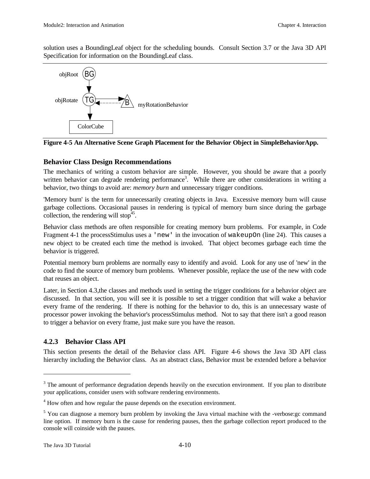solution uses a BoundingLeaf object for the scheduling bounds. Consult Section 3.7 or the Java 3D API Specification for information on the BoundingLeaf class.



**Figure 4-5 An Alternative Scene Graph Placement for the Behavior Object in SimpleBehaviorApp.**

#### **Behavior Class Design Recommendations**

The mechanics of writing a custom behavior are simple. However, you should be aware that a poorly written behavior can degrade rendering performance<sup>3</sup>. While there are other considerations in writing a behavior, two things to avoid are: *memory burn* and unnecessary trigger conditions.

'Memory burn' is the term for unnecessarily creating objects in Java. Excessive memory burn will cause garbage collections. Occasional pauses in rendering is typical of memory burn since during the garbage collection, the rendering will stop<sup>45</sup>.

Behavior class methods are often responsible for creating memory burn problems. For example, in Code Fragment 4-1 the processStimulus uses a 'new' in the invocation of wakeupOn (line 24). This causes a new object to be created each time the method is invoked. That object becomes garbage each time the behavior is triggered.

Potential memory burn problems are normally easy to identify and avoid. Look for any use of 'new' in the code to find the source of memory burn problems. Whenever possible, replace the use of the new with code that reuses an object.

Later, in Section 4.3,the classes and methods used in setting the trigger conditions for a behavior object are discussed. In that section, you will see it is possible to set a trigger condition that will wake a behavior every frame of the rendering. If there is nothing for the behavior to do, this is an unnecessary waste of processor power invoking the behavior's processStimulus method. Not to say that there isn't a good reason to trigger a behavior on every frame, just make sure you have the reason.

#### **4.2.3 Behavior Class API**

This section presents the detail of the Behavior class API. Figure 4-6 shows the Java 3D API class hierarchy including the Behavior class. As an abstract class, Behavior must be extended before a behavior

<u>.</u>

 $3$  The amount of performance degradation depends heavily on the execution environment. If you plan to distribute your applications, consider users with software rendering environments.

<sup>&</sup>lt;sup>4</sup> How often and how regular the pause depends on the execution environment.

<sup>&</sup>lt;sup>5</sup> You can diagnose a memory burn problem by invoking the Java virtual machine with the -verbose: gc command line option. If memory burn is the cause for rendering pauses, then the garbage collection report produced to the console will coinside with the pauses.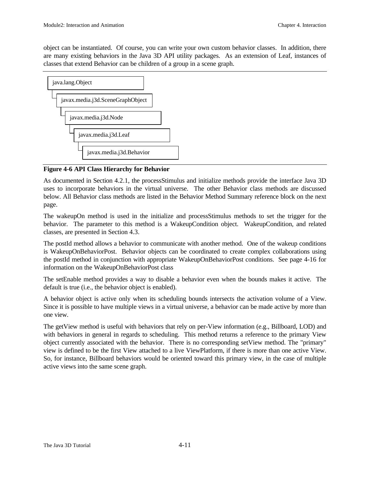object can be instantiated. Of course, you can write your own custom behavior classes. In addition, there are many existing behaviors in the Java 3D API utility packages. As an extension of Leaf, instances of classes that extend Behavior can be children of a group in a scene graph.



**Figure 4-6 API Class Hierarchy for Behavior**

As documented in Section 4.2.1, the processStimulus and initialize methods provide the interface Java 3D uses to incorporate behaviors in the virtual universe. The other Behavior class methods are discussed below. All Behavior class methods are listed in the Behavior Method Summary reference block on the next page.

The wakeupOn method is used in the initialize and processStimulus methods to set the trigger for the behavior. The parameter to this method is a WakeupCondition object. WakeupCondition, and related classes, are presented in Section 4.3.

The postId method allows a behavior to communicate with another method. One of the wakeup conditions is WakeupOnBehaviorPost. Behavior objects can be coordinated to create complex collaborations using the postId method in conjunction with appropriate WakeupOnBehaviorPost conditions. See page 4-16 for information on the WakeupOnBehaviorPost class

The setEnable method provides a way to disable a behavior even when the bounds makes it active. The default is true (i.e., the behavior object is enabled).

A behavior object is active only when its scheduling bounds intersects the activation volume of a View. Since it is possible to have multiple views in a virtual universe, a behavior can be made active by more than one view.

The getView method is useful with behaviors that rely on per-View information (e.g., Billboard, LOD) and with behaviors in general in regards to scheduling. This method returns a reference to the primary View object currently associated with the behavior. There is no corresponding setView method. The "primary" view is defined to be the first View attached to a live ViewPlatform, if there is more than one active View. So, for instance, Billboard behaviors would be oriented toward this primary view, in the case of multiple active views into the same scene graph.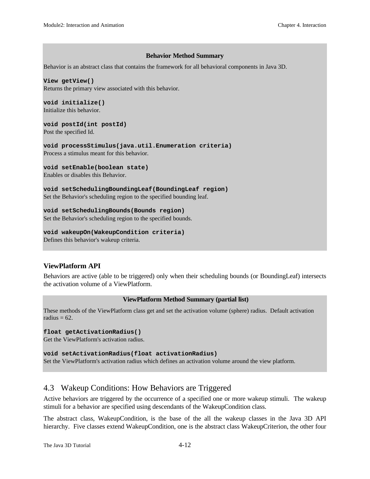#### **Behavior Method Summary**

Behavior is an abstract class that contains the framework for all behavioral components in Java 3D.

**View getView()** Returns the primary view associated with this behavior.

**void initialize()** Initialize this behavior.

**void postId(int postId)** Post the specified Id.

**void processStimulus(java.util.Enumeration criteria)** Process a stimulus meant for this behavior.

**void setEnable(boolean state)**

Enables or disables this Behavior.

**void setSchedulingBoundingLeaf(BoundingLeaf region)** Set the Behavior's scheduling region to the specified bounding leaf.

**void setSchedulingBounds(Bounds region)** Set the Behavior's scheduling region to the specified bounds.

**void wakeupOn(WakeupCondition criteria)** Defines this behavior's wakeup criteria.

#### **ViewPlatform API**

Behaviors are active (able to be triggered) only when their scheduling bounds (or BoundingLeaf) intersects the activation volume of a ViewPlatform.

#### **ViewPlatform Method Summary (partial list)**

These methods of the ViewPlatform class get and set the activation volume (sphere) radius. Default activation radius  $= 62$ .

#### **float getActivationRadius()**

Get the ViewPlatform's activation radius.

**void setActivationRadius(float activationRadius)**

Set the ViewPlatform's activation radius which defines an activation volume around the view platform.

#### 4.3 Wakeup Conditions: How Behaviors are Triggered

Active behaviors are triggered by the occurrence of a specified one or more wakeup stimuli. The wakeup stimuli for a behavior are specified using descendants of the WakeupCondition class.

The abstract class, WakeupCondition, is the base of the all the wakeup classes in the Java 3D API hierarchy. Five classes extend WakeupCondition, one is the abstract class WakeupCriterion, the other four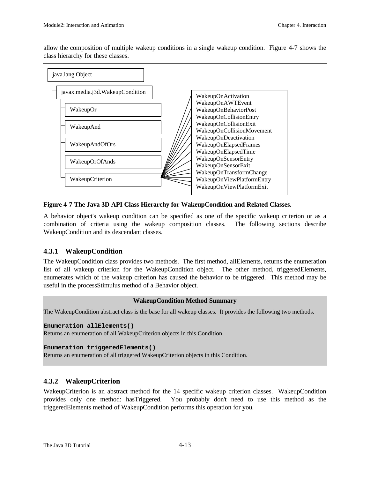allow the composition of multiple wakeup conditions in a single wakeup condition. Figure 4-7 shows the class hierarchy for these classes.



**Figure 4-7 The Java 3D API Class Hierarchy for WakeupCondition and Related Classes.**

A behavior object's wakeup condition can be specified as one of the specific wakeup criterion or as a combination of criteria using the wakeup composition classes. The following sections describe WakeupCondition and its descendant classes.

#### **4.3.1 WakeupCondition**

The WakeupCondition class provides two methods. The first method, allElements, returns the enumeration list of all wakeup criterion for the WakeupCondition object. The other method, triggeredElements, enumerates which of the wakeup criterion has caused the behavior to be triggered. This method may be useful in the processStimulus method of a Behavior object.

#### **WakeupCondition Method Summary**

The WakeupCondition abstract class is the base for all wakeup classes. It provides the following two methods.

#### **Enumeration allElements()**

Returns an enumeration of all WakeupCriterion objects in this Condition.

#### **Enumeration triggeredElements()**

Returns an enumeration of all triggered WakeupCriterion objects in this Condition.

#### **4.3.2 WakeupCriterion**

WakeupCriterion is an abstract method for the 14 specific wakeup criterion classes. WakeupCondition provides only one method: hasTriggered. You probably don't need to use this method as the triggeredElements method of WakeupCondition performs this operation for you.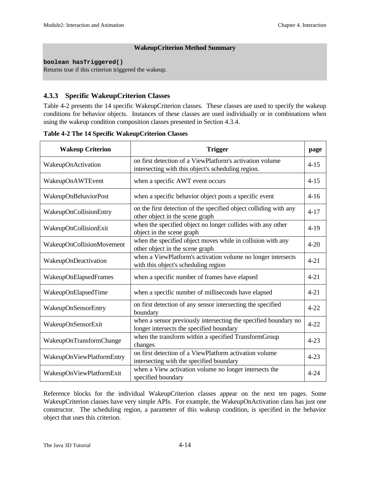#### **WakeupCriterion Method Summary**

#### **boolean hasTriggered()**

Returns true if this criterion triggered the wakeup.

#### **4.3.3 Specific WakeupCriterion Classes**

Table 4-2 presents the 14 specific WakeupCriterion classes. These classes are used to specify the wakeup conditions for behavior objects. Instances of these classes are used individually or in combinations when using the wakeup condition composition classes presented in Section 4.3.4.

| Table 4-2 The 14 Specific WakeupCriterion Classes |  |  |  |  |  |
|---------------------------------------------------|--|--|--|--|--|
|---------------------------------------------------|--|--|--|--|--|

| <b>Wakeup Criterion</b>   | <b>Trigger</b>                                                                                                 |          |
|---------------------------|----------------------------------------------------------------------------------------------------------------|----------|
| WakeupOnActivation        | on first detection of a ViewPlatform's activation volume<br>intersecting with this object's scheduling region. |          |
| WakeupOnAWTEvent          | when a specific AWT event occurs                                                                               | $4 - 15$ |
| WakeupOnBehaviorPost      | when a specific behavior object posts a specific event                                                         | $4 - 16$ |
| WakeupOnCollisionEntry    | on the first detection of the specified object colliding with any<br>other object in the scene graph           | $4 - 17$ |
| WakeupOnCollisionExit     | when the specified object no longer collides with any other<br>object in the scene graph                       | $4-19$   |
| WakeupOnCollisionMovement | when the specified object moves while in collision with any<br>other object in the scene graph                 | $4 - 20$ |
| WakeupOnDeactivation      | when a ViewPlatform's activation volume no longer intersects<br>with this object's scheduling region           | $4 - 21$ |
| WakeupOnElapsedFrames     | when a specific number of frames have elapsed                                                                  | $4 - 21$ |
| WakeupOnElapsedTime       | when a specific number of milliseconds have elapsed                                                            | $4 - 21$ |
| WakeupOnSensorEntry       | on first detection of any sensor intersecting the specified<br>boundary                                        | $4 - 22$ |
| WakeupOnSensorExit        | when a sensor previously intersecting the specified boundary no<br>longer intersects the specified boundary    | $4 - 22$ |
| WakeupOnTransformChange   | when the transform within a specified TransformGroup<br>changes                                                | $4 - 23$ |
| WakeupOnViewPlatformEntry | on first detection of a ViewPlatform activation volume<br>intersecting with the specified boundary             | $4 - 23$ |
| WakeupOnViewPlatformExit  | when a View activation volume no longer intersects the<br>specified boundary                                   |          |

Reference blocks for the individual WakeupCriterion classes appear on the next ten pages. Some WakeupCriterion classes have very simple APIs. For example, the WakeupOnActivation class has just one constructor. The scheduling region, a parameter of this wakeup condition, is specified in the behavior object that uses this criterion.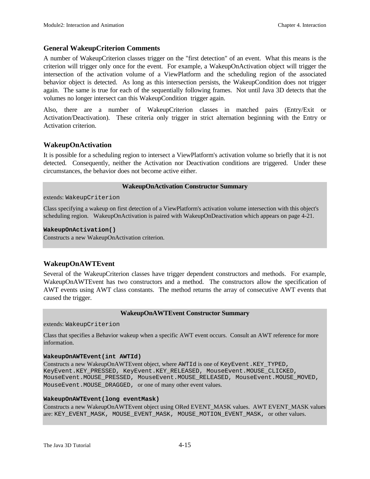#### **General WakeupCriterion Comments**

A number of WakeupCriterion classes trigger on the "first detection" of an event. What this means is the criterion will trigger only once for the event. For example, a WakeupOnActivation object will trigger the intersection of the activation volume of a ViewPlatform and the scheduling region of the associated behavior object is detected. As long as this intersection persists, the WakeupCondition does not trigger again. The same is true for each of the sequentially following frames. Not until Java 3D detects that the volumes no longer intersect can this WakeupCondition trigger again.

Also, there are a number of WakeupCriterion classes in matched pairs (Entry/Exit or Activation/Deactivation). These criteria only trigger in strict alternation beginning with the Entry or Activation criterion.

#### **WakeupOnActivation**

It is possible for a scheduling region to intersect a ViewPlatform's activation volume so briefly that it is not detected. Consequently, neither the Activation nor Deactivation conditions are triggered. Under these circumstances, the behavior does not become active either.

#### **WakeupOnActivation Constructor Summary**

extends: WakeupCriterion

Class specifying a wakeup on first detection of a ViewPlatform's activation volume intersection with this object's scheduling region. WakeupOnActivation is paired with WakeupOnDeactivation which appears on page 4-21.

#### **WakeupOnActivation()**

Constructs a new WakeupOnActivation criterion.

#### **WakeupOnAWTEvent**

Several of the WakeupCriterion classes have trigger dependent constructors and methods. For example, WakeupOnAWTEvent has two constructors and a method. The constructors allow the specification of AWT events using AWT class constants. The method returns the array of consecutive AWT events that caused the trigger.

#### **WakeupOnAWTEvent Constructor Summary**

extends: WakeupCriterion

Class that specifies a Behavior wakeup when a specific AWT event occurs. Consult an AWT reference for more information.

#### **WakeupOnAWTEvent(int AWTId)**

Constructs a new WakeupOnAWTEvent object, where AWTId is one of KeyEvent.KEY\_TYPED, KeyEvent.KEY\_PRESSED, KeyEvent.KEY\_RELEASED, MouseEvent.MOUSE\_CLICKED, MouseEvent.MOUSE\_PRESSED, MouseEvent.MOUSE\_RELEASED, MouseEvent.MOUSE\_MOVED, MouseEvent.MOUSE\_DRAGGED, or one of many other event values.

#### **WakeupOnAWTEvent(long eventMask)**

Constructs a new WakeupOnAWTEvent object using ORed EVENT\_MASK values. AWT EVENT\_MASK values are: KEY\_EVENT\_MASK, MOUSE\_EVENT\_MASK, MOUSE\_MOTION\_EVENT\_MASK, or other values.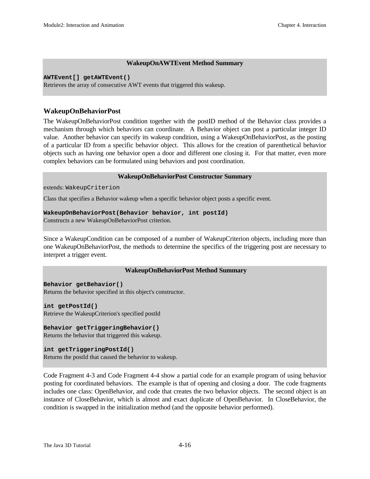#### **WakeupOnAWTEvent Method Summary**

#### **AWTEvent[] getAWTEvent()**

Retrieves the array of consecutive AWT events that triggered this wakeup.

#### **WakeupOnBehaviorPost**

The WakeupOnBehaviorPost condition together with the postID method of the Behavior class provides a mechanism through which behaviors can coordinate. A Behavior object can post a particular integer ID value. Another behavior can specify its wakeup condition, using a WakeupOnBehaviorPost, as the posting of a particular ID from a specific behavior object. This allows for the creation of parenthetical behavior objects such as having one behavior open a door and different one closing it. For that matter, even more complex behaviors can be formulated using behaviors and post coordination.

#### **WakeupOnBehaviorPost Constructor Summary**

extends: WakeupCriterion

Class that specifies a Behavior wakeup when a specific behavior object posts a specific event.

#### **WakeupOnBehaviorPost(Behavior behavior, int postId)**

Constructs a new WakeupOnBehaviorPost criterion.

Since a WakeupCondition can be composed of a number of WakeupCriterion objects, including more than one WakeupOnBehaviorPost, the methods to determine the specifics of the triggering post are necessary to interpret a trigger event.

#### **WakeupOnBehaviorPost Method Summary**

**Behavior getBehavior()** Returns the behavior specified in this object's constructor.

**int getPostId()** Retrieve the WakeupCriterion's specified postId

**Behavior getTriggeringBehavior()** Returns the behavior that triggered this wakeup.

**int getTriggeringPostId()** Returns the postId that caused the behavior to wakeup.

Code Fragment 4-3 and Code Fragment 4-4 show a partial code for an example program of using behavior posting for coordinated behaviors. The example is that of opening and closing a door. The code fragments includes one class: OpenBehavior, and code that creates the two behavior objects. The second object is an instance of CloseBehavior, which is almost and exact duplicate of OpenBehavior. In CloseBehavior, the condition is swapped in the initialization method (and the opposite behavior performed).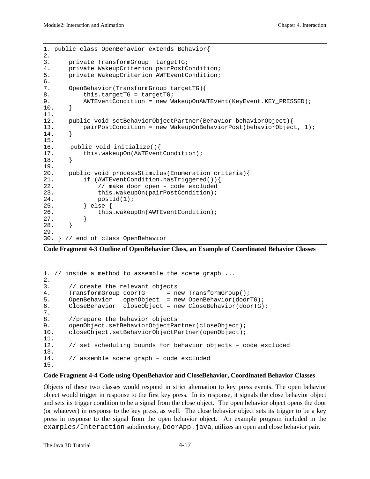```
1. public class OpenBehavior extends Behavior{
2.
3. private TransformGroup targetTG;
4. private WakeupCriterion pairPostCondition;
5. private WakeupCriterion AWTEventCondition;
6.
7. OpenBehavior(TransformGroup targetTG){
8. this.targetTG = targetTG;
9. AWTEventCondition = new WakeupOnAWTEvent(KeyEvent.KEY_PRESSED);
10. }
11.
12. public void setBehaviorObjectPartner(Behavior behaviorObject){
13. pairPostCondition = new WakeupOnBehaviorPost(behaviorObject, 1);
14. }
15.
16. public void initialize(){<br>17. this.wakeupOn(AWTEven
          this.wakeupOn(AWTEventCondition);
18. }
19.
20. public void processStimulus(Enumeration criteria){<br>21. if (AWTEventCondition.hasTriqqered()){
          21. if (AWTEventCondition.hasTriggered()){
22. // make door open – code excluded
23. this.wakeupOn(pairPostCondition);
24. postId(1);25. } else {
26. this.wakeupOn(AWTEventCondition);
27. }
28. }
29.
30. } // end of class OpenBehavior
```
**Code Fragment 4-3 Outline of OpenBehavior Class, an Example of Coordinated Behavior Classes**

```
1. // inside a method to assemble the scene graph ...
2.
3. \frac{1}{2} create the relevant objects<br>4. TransformGroup doorTG = n
       TransformGroup doorTG = new TransformGroup();
5. OpenBehavior openObject = new OpenBehavior(doorTG);
6. CloseBehavior closeObject = new CloseBehavior(doorTG);
7.
8. //prepare the behavior objects
9. openObject.setBehaviorObjectPartner(closeObject);
10. closeObject.setBehaviorObjectPartner(openObject);
\frac{11}{12}.
       12. // set scheduling bounds for behavior objects – code excluded
\frac{13}{14}.
       // assemble scene graph - code excluded
15.
```
#### **Code Fragment 4-4 Code using OpenBehavior and CloseBehavior, Coordinated Behavior Classes**

Objects of these two classes would respond in strict alternation to key press events. The open behavior object would trigger in response to the first key press. In its response, it signals the close behavior object and sets its trigger condition to be a signal from the close object. The open behavior object opens the door (or whatever) in response to the key press, as well. The close behavior object sets its trigger to be a key press in response to the signal from the open behavior object. An example program included in the examples/Interaction subdirectory, DoorApp.java, utilizes an open and close behavior pair.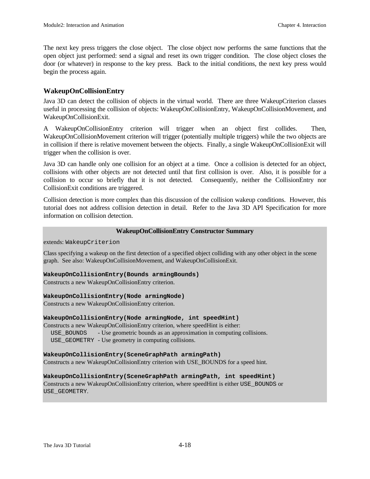The next key press triggers the close object. The close object now performs the same functions that the open object just performed: send a signal and reset its own trigger condition. The close object closes the door (or whatever) in response to the key press. Back to the initial conditions, the next key press would begin the process again.

#### **WakeupOnCollisionEntry**

Java 3D can detect the collision of objects in the virtual world. There are three WakeupCriterion classes useful in processing the collision of objects: WakeupOnCollisionEntry, WakeupOnCollisionMovement, and WakeupOnCollisionExit.

A WakeupOnCollisionEntry criterion will trigger when an object first collides. Then, WakeupOnCollisionMovement criterion will trigger (potentially multiple triggers) while the two objects are in collision if there is relative movement between the objects. Finally, a single WakeupOnCollisionExit will trigger when the collision is over.

Java 3D can handle only one collision for an object at a time. Once a collision is detected for an object, collisions with other objects are not detected until that first collision is over. Also, it is possible for a collision to occur so briefly that it is not detected. Consequently, neither the CollisionEntry nor CollisionExit conditions are triggered.

Collision detection is more complex than this discussion of the collision wakeup conditions. However, this tutorial does not address collision detection in detail. Refer to the Java 3D API Specification for more information on collision detection.

#### **WakeupOnCollisionEntry Constructor Summary**

extends: WakeupCriterion

Class specifying a wakeup on the first detection of a specified object colliding with any other object in the scene graph. See also: WakeupOnCollisionMovement, and WakeupOnCollisionExit.

#### **WakeupOnCollisionEntry(Bounds armingBounds)**

Constructs a new WakeupOnCollisionEntry criterion.

#### **WakeupOnCollisionEntry(Node armingNode)**

Constructs a new WakeupOnCollisionEntry criterion.

#### **WakeupOnCollisionEntry(Node armingNode, int speedHint)**

Constructs a new WakeupOnCollisionEntry criterion, where speedHint is either: USE\_BOUNDS - Use geometric bounds as an approximation in computing collisions. USE\_GEOMETRY - Use geometry in computing collisions.

#### **WakeupOnCollisionEntry(SceneGraphPath armingPath)**

Constructs a new WakeupOnCollisionEntry criterion with USE\_BOUNDS for a speed hint.

#### **WakeupOnCollisionEntry(SceneGraphPath armingPath, int speedHint)**

Constructs a new WakeupOnCollisionEntry criterion, where speedHint is either USE\_BOUNDS or USE\_GEOMETRY.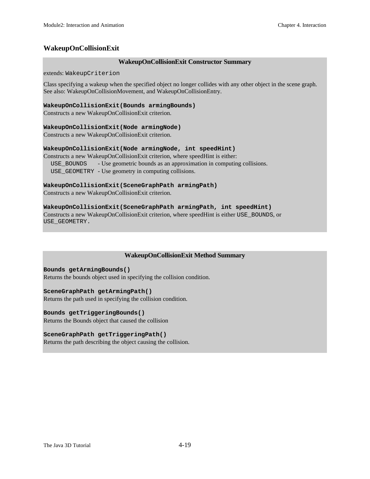#### **WakeupOnCollisionExit**

#### **WakeupOnCollisionExit Constructor Summary**

extends: WakeupCriterion

Class specifying a wakeup when the specified object no longer collides with any other object in the scene graph. See also: WakeupOnCollisionMovement, and WakeupOnCollisionEntry.

#### **WakeupOnCollisionExit(Bounds armingBounds)**

Constructs a new WakeupOnCollisionExit criterion.

#### **WakeupOnCollisionExit(Node armingNode)**

Constructs a new WakeupOnCollisionExit criterion.

#### **WakeupOnCollisionExit(Node armingNode, int speedHint)**

Constructs a new WakeupOnCollisionExit criterion, where speedHint is either: USE\_BOUNDS - Use geometric bounds as an approximation in computing collisions. USE\_GEOMETRY - Use geometry in computing collisions.

#### **WakeupOnCollisionExit(SceneGraphPath armingPath)**

Constructs a new WakeupOnCollisionExit criterion.

#### **WakeupOnCollisionExit(SceneGraphPath armingPath, int speedHint)**

Constructs a new WakeupOnCollisionExit criterion, where speedHint is either USE\_BOUNDS, or USE\_GEOMETRY.

#### **WakeupOnCollisionExit Method Summary**

**Bounds getArmingBounds()** Returns the bounds object used in specifying the collision condition.

#### **SceneGraphPath getArmingPath()**

Returns the path used in specifying the collision condition.

#### **Bounds getTriggeringBounds()**

Returns the Bounds object that caused the collision

#### **SceneGraphPath getTriggeringPath()**

Returns the path describing the object causing the collision.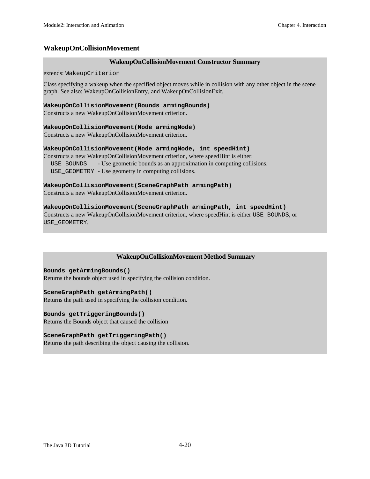#### **WakeupOnCollisionMovement**

#### **WakeupOnCollisionMovement Constructor Summary**

extends: WakeupCriterion

Class specifying a wakeup when the specified object moves while in collision with any other object in the scene graph. See also: WakeupOnCollisionEntry, and WakeupOnCollisionExit.

#### **WakeupOnCollisionMovement(Bounds armingBounds)**

Constructs a new WakeupOnCollisionMovement criterion.

#### **WakeupOnCollisionMovement(Node armingNode)**

Constructs a new WakeupOnCollisionMovement criterion.

#### **WakeupOnCollisionMovement(Node armingNode, int speedHint)**

Constructs a new WakeupOnCollisionMovement criterion, where speedHint is either: USE\_BOUNDS - Use geometric bounds as an approximation in computing collisions. USE\_GEOMETRY - Use geometry in computing collisions.

#### **WakeupOnCollisionMovement(SceneGraphPath armingPath)**

Constructs a new WakeupOnCollisionMovement criterion.

#### **WakeupOnCollisionMovement(SceneGraphPath armingPath, int speedHint)**

Constructs a new WakeupOnCollisionMovement criterion, where speedHint is either USE\_BOUNDS, or USE\_GEOMETRY.

#### **WakeupOnCollisionMovement Method Summary**

#### **Bounds getArmingBounds()**

Returns the bounds object used in specifying the collision condition.

#### **SceneGraphPath getArmingPath()**

Returns the path used in specifying the collision condition.

#### **Bounds getTriggeringBounds()**

Returns the Bounds object that caused the collision

#### **SceneGraphPath getTriggeringPath()**

Returns the path describing the object causing the collision.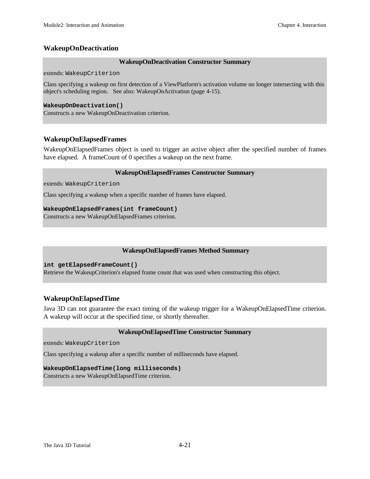#### **WakeupOnDeactivation**

#### **WakeupOnDeactivation Constructor Summary**

extends: WakeupCriterion

Class specifying a wakeup on first detection of a ViewPlatform's activation volume no longer intersecting with this object's scheduling region. See also: WakeupOnActivation (page 4-15).

#### **WakeupOnDeactivation()**

Constructs a new WakeupOnDeactivation criterion.

#### **WakeupOnElapsedFrames**

WakeupOnElapsedFrames object is used to trigger an active object after the specified number of frames have elapsed. A frameCount of 0 specifies a wakeup on the next frame.

#### **WakeupOnElapsedFrames Constructor Summary**

extends: WakeupCriterion

Class specifying a wakeup when a specific number of frames have elapsed.

#### **WakeupOnElapsedFrames(int frameCount)**

Constructs a new WakeupOnElapsedFrames criterion.

#### **WakeupOnElapsedFrames Method Summary**

**int getElapsedFrameCount()**

Retrieve the WakeupCriterion's elapsed frame count that was used when constructing this object.

#### **WakeupOnElapsedTime**

Java 3D can not guarantee the exact timing of the wakeup trigger for a WakeupOnElapsedTime criterion. A wakeup will occur at the specified time, or shortly thereafter.

#### **WakeupOnElapsedTime Constructor Summary**

extends: WakeupCriterion

Class specifying a wakeup after a specific number of milliseconds have elapsed.

#### **WakeupOnElapsedTime(long milliseconds)**

Constructs a new WakeupOnElapsedTime criterion.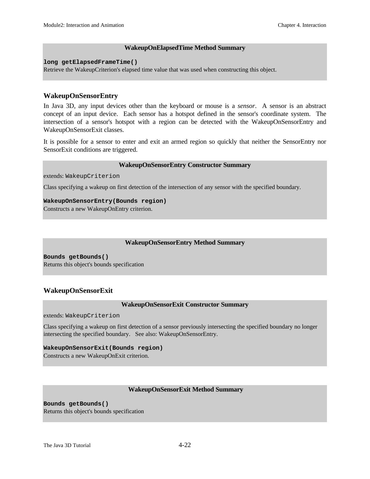#### **WakeupOnElapsedTime Method Summary**

**long getElapsedFrameTime()**

Retrieve the WakeupCriterion's elapsed time value that was used when constructing this object.

#### **WakeupOnSensorEntry**

In Java 3D, any input devices other than the keyboard or mouse is a *sensor*. A sensor is an abstract concept of an input device. Each sensor has a hotspot defined in the sensor's coordinate system. The intersection of a sensor's hotspot with a region can be detected with the WakeupOnSensorEntry and WakeupOnSensorExit classes.

It is possible for a sensor to enter and exit an armed region so quickly that neither the SensorEntry nor SensorExit conditions are triggered.

#### **WakeupOnSensorEntry Constructor Summary**

extends: WakeupCriterion

Class specifying a wakeup on first detection of the intersection of any sensor with the specified boundary.

#### **WakeupOnSensorEntry(Bounds region)**

Constructs a new WakeupOnEntry criterion.

#### **WakeupOnSensorEntry Method Summary**

**Bounds getBounds()** Returns this object's bounds specification

#### **WakeupOnSensorExit**

#### **WakeupOnSensorExit Constructor Summary**

extends: WakeupCriterion

Class specifying a wakeup on first detection of a sensor previously intersecting the specified boundary no longer intersecting the specified boundary. See also: WakeupOnSensorEntry.

#### **WakeupOnSensorExit(Bounds region)**

Constructs a new WakeupOnExit criterion.

#### **WakeupOnSensorExit Method Summary**

**Bounds getBounds()** Returns this object's bounds specification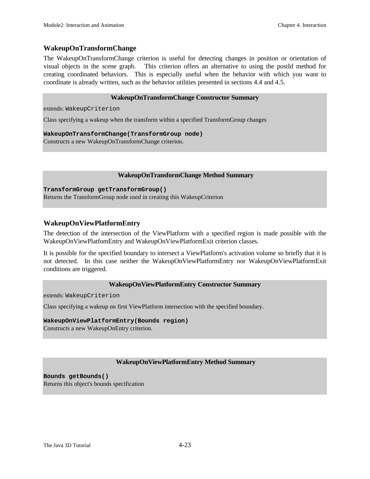#### **WakeupOnTransformChange**

The WakeupOnTransformChange criterion is useful for detecting changes in position or orientation of visual objects in the scene graph. This criterion offers an alternative to using the postId method for creating coordinated behaviors. This is especially useful when the behavior with which you want to coordinate is already written, such as the behavior utilities presented in sections 4.4 and 4.5.

#### **WakeupOnTransformChange Constructor Summary**

extends: WakeupCriterion

Class specifying a wakeup when the transform within a specified TransformGroup changes

**WakeupOnTransformChange(TransformGroup node)**

Constructs a new WakeupOnTransformChange criterion.

#### **WakeupOnTransformChange Method Summary**

**TransformGroup getTransformGroup()**

Returns the TransformGroup node used in creating this WakeupCriterion

#### **WakeupOnViewPlatformEntry**

The detection of the intersection of the ViewPlatform with a specified region is made possible with the WakeupOnViewPlatfomEntry and WakeupOnViewPlatformExit criterion classes.

It is possible for the specified boundary to intersect a ViewPlatform's activation volume so briefly that it is not detected. In this case neither the WakeupOnViewPlatformEntry nor WakeupOnViewPlatformExit conditions are triggered.

#### **WakeupOnViewPlatformEntry Constructor Summary**

extends: WakeupCriterion

Class specifying a wakeup on first ViewPlatform intersection with the specified boundary.

#### **WakeupOnViewPlatformEntry(Bounds region)**

Constructs a new WakeupOnEntry criterion.

#### **WakeupOnViewPlatformEntry Method Summary**

**Bounds getBounds()** Returns this object's bounds specification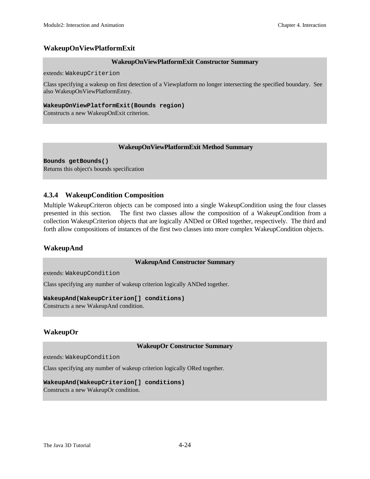#### **WakeupOnViewPlatformExit**

#### **WakeupOnViewPlatformExit Constructor Summary**

extends: WakeupCriterion

Class specifying a wakeup on first detection of a Viewplatform no longer intersecting the specified boundary. See also WakeupOnViewPlatformEntry.

#### **WakeupOnViewPlatformExit(Bounds region)**

Constructs a new WakeupOnExit criterion.

#### **WakeupOnViewPlatformExit Method Summary**

**Bounds getBounds()** Returns this object's bounds specification

#### **4.3.4 WakeupCondition Composition**

Multiple WakeupCriteron objects can be composed into a single WakeupCondition using the four classes presented in this section. The first two classes allow the composition of a WakeupCondition from a collection WakeupCriterion objects that are logically ANDed or ORed together, respectively. The third and forth allow compositions of instances of the first two classes into more complex WakeupCondition objects.

#### **WakeupAnd**

#### **WakeupAnd Constructor Summary**

extends: WakeupCondition

Class specifying any number of wakeup criterion logically ANDed together.

#### **WakeupAnd(WakeupCriterion[] conditions)**

Constructs a new WakeupAnd condition.

#### **WakeupOr**

#### **WakeupOr Constructor Summary**

extends: WakeupCondition

Class specifying any number of wakeup criterion logically ORed together.

#### **WakeupAnd(WakeupCriterion[] conditions)**

Constructs a new WakeupOr condition.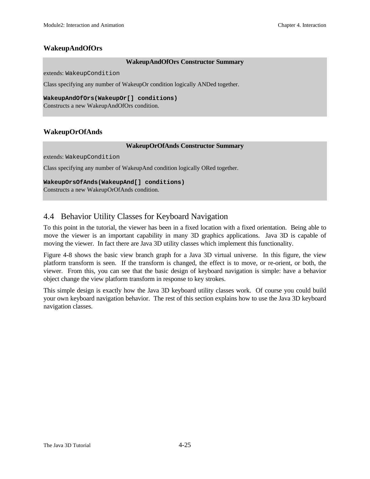#### **WakeupAndOfOrs**

#### **WakeupAndOfOrs Constructor Summary**

extends: WakeupCondition

Class specifying any number of WakeupOr condition logically ANDed together.

**WakeupAndOfOrs(WakeupOr[] conditions)**

Constructs a new WakeupAndOfOrs condition.

#### **WakeupOrOfAnds**

#### **WakeupOrOfAnds Constructor Summary**

extends: WakeupCondition

Class specifying any number of WakeupAnd condition logically ORed together.

#### **WakeupOrsOfAnds(WakeupAnd[] conditions)**

Constructs a new WakeupOrOfAnds condition.

#### 4.4 Behavior Utility Classes for Keyboard Navigation

To this point in the tutorial, the viewer has been in a fixed location with a fixed orientation. Being able to move the viewer is an important capability in many 3D graphics applications. Java 3D is capable of moving the viewer. In fact there are Java 3D utility classes which implement this functionality.

Figure 4-8 shows the basic view branch graph for a Java 3D virtual universe. In this figure, the view platform transform is seen. If the transform is changed, the effect is to move, or re-orient, or both, the viewer. From this, you can see that the basic design of keyboard navigation is simple: have a behavior object change the view platform transform in response to key strokes.

This simple design is exactly how the Java 3D keyboard utility classes work. Of course you could build your own keyboard navigation behavior. The rest of this section explains how to use the Java 3D keyboard navigation classes.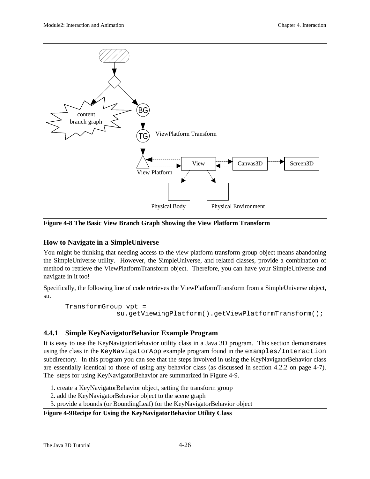

**Figure 4-8 The Basic View Branch Graph Showing the View Platform Transform**

#### **How to Navigate in a SimpleUniverse**

You might be thinking that needing access to the view platform transform group object means abandoning the SimpleUniverse utility. However, the SimpleUniverse, and related classes, provide a combination of method to retrieve the ViewPlatformTransform object. Therefore, you can have your SimpleUniverse and navigate in it too!

Specifically, the following line of code retrieves the ViewPlatformTransform from a SimpleUniverse object, su.

```
TransformGroup vpt =
              su.getViewingPlatform().getViewPlatformTransform();
```
#### **4.4.1 Simple KeyNavigatorBehavior Example Program**

It is easy to use the KeyNavigatorBehavior utility class in a Java 3D program. This section demonstrates using the class in the KeyNavigatorApp example program found in the examples/Interaction subdirectory. In this program you can see that the steps involved in using the KeyNavigatorBehavior class are essentially identical to those of using any behavior class (as discussed in section 4.2.2 on page 4-7). The steps for using KeyNavigatorBehavior are summarized in Figure 4-9.

- 1. create a KeyNavigatorBehavior object, setting the transform group
- 2. add the KeyNavigatorBehavior object to the scene graph
- 3. provide a bounds (or BoundingLeaf) for the KeyNavigatorBehavior object

#### **Figure 4-9Recipe for Using the KeyNavigatorBehavior Utility Class**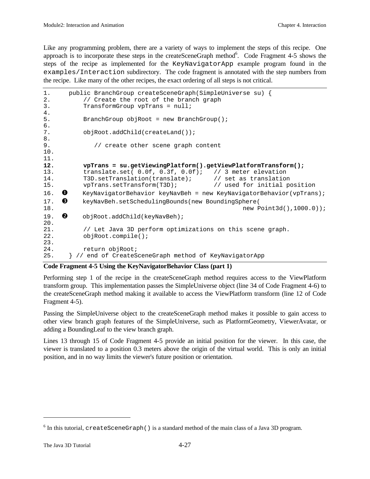Like any programming problem, there are a variety of ways to implement the steps of this recipe. One approach is to incorporate these steps in the createSceneGraph method<sup>6</sup>. Code Fragment 4-5 shows the steps of the recipe as implemented for the KeyNavigatorApp example program found in the examples/Interaction subdirectory. The code fragment is annotated with the step numbers from the recipe. Like many of the other recipes, the exact ordering of all steps is not critical.

```
1. public BranchGroup createSceneGraph(SimpleUniverse su) {
2. \frac{1}{2} // Create the root of the branch graph 3.
         TransformGroup vpTrans = null;4.
5. BranchGroup objRoot = new BranchGroup();
6.
7. objRoot.addChild(createLand());
8.
9. \frac{1}{2} // create other scene graph content
10.
11.
12. vpTrans = su.getViewingPlatform().getViewPlatformTransform();
13. translate.set( 0.0f, 0.3f, 0.0f); // 3 meter elevation
14. T3D.setTranslation(translate); // set as translation
15. vpTrans.setTransform(T3D); // used for initial position
16. \bullet KeyNavigatorBehavior keyNavBeh = new KeyNavigatorBehavior(vpTrans);
17. 6 keyNavBeh.setSchedulingBounds(new BoundingSphere)
18. new Point3d(),1000.0));
19. \bullet objRoot.addChild(keyNavBeh);
\frac{20}{21}.
          // Let Java 3D perform optimizations on this scene graph.
22. objRoot.compile();
23.
24. return objRoot;
25. } // end of CreateSceneGraph method of KeyNavigatorApp
```
#### **Code Fragment 4-5 Using the KeyNavigatorBehavior Class (part 1)**

Performing step 1 of the recipe in the createSceneGraph method requires access to the ViewPlatform transform group. This implementation passes the SimpleUniverse object (line 34 of Code Fragment 4-6) to the createSceneGraph method making it available to access the ViewPlatform transform (line 12 of Code Fragment 4-5).

Passing the SimpleUniverse object to the createSceneGraph method makes it possible to gain access to other view branch graph features of the SimpleUniverse, such as PlatformGeometry, ViewerAvatar, or adding a BoundingLeaf to the view branch graph.

Lines 13 through 15 of Code Fragment 4-5 provide an initial position for the viewer. In this case, the viewer is translated to a position 0.3 meters above the origin of the virtual world. This is only an initial position, and in no way limits the viewer's future position or orientation.

 $\overline{a}$ 

 $^6$  In this tutorial, createSceneGraph ( ) is a standard method of the main class of a Java 3D program.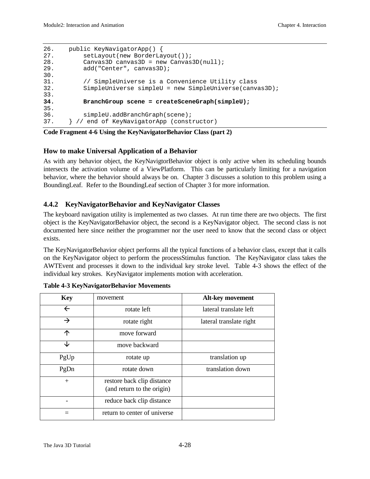```
26. public KeyNavigatorApp() {
27. setLayout(new BorderLayout());
28. Canvas3D canvas3D = new Canvas3D(null);
29. add("Center", canvas3D);
30.
31. // SimpleUniverse is a Convenience Utility class
32. SimpleUniverse simpleU = new SimpleUniverse(canvas3D);
33.
34. BranchGroup scene = createSceneGraph(simpleU);
35.
36. simpleU.addBranchGraph(scene);
37. } // end of KeyNavigatorApp (constructor)
```
**Code Fragment 4-6 Using the KeyNavigatorBehavior Class (part 2)**

#### **How to make Universal Application of a Behavior**

As with any behavior object, the KeyNavigtorBehavior object is only active when its scheduling bounds intersects the activation volume of a ViewPlatform. This can be particularly limiting for a navigation behavior, where the behavior should always be on. Chapter 3 discusses a solution to this problem using a BoundingLeaf. Refer to the BoundingLeaf section of Chapter 3 for more information.

#### **4.4.2 KeyNavigatorBehavior and KeyNavigator Classes**

The keyboard navigation utility is implemented as two classes. At run time there are two objects. The first object is the KeyNavigatorBehavior object, the second is a KeyNavigator object. The second class is not documented here since neither the programmer nor the user need to know that the second class or object exists.

The KeyNavigatorBehavior object performs all the typical functions of a behavior class, except that it calls on the KeyNavigator object to perform the processStimulus function. The KeyNavigator class takes the AWTEvent and processes it down to the individual key stroke level. Table 4-3 shows the effect of the individual key strokes. KeyNavigator implements motion with acceleration.

| <b>Key</b>    | movement                                                 | Alt-key movement        |
|---------------|----------------------------------------------------------|-------------------------|
| $\leftarrow$  | rotate left                                              | lateral translate left  |
| $\rightarrow$ | rotate right                                             | lateral translate right |
| 个             | move forward                                             |                         |
| ↓             | move backward                                            |                         |
| PgUp          | rotate up                                                | translation up          |
| PgDn          | rotate down                                              | translation down        |
| $+$           | restore back clip distance<br>(and return to the origin) |                         |
|               | reduce back clip distance                                |                         |
|               | return to center of universe                             |                         |

|  | <b>Table 4-3 KeyNavigatorBehavior Movements</b> |  |
|--|-------------------------------------------------|--|
|  |                                                 |  |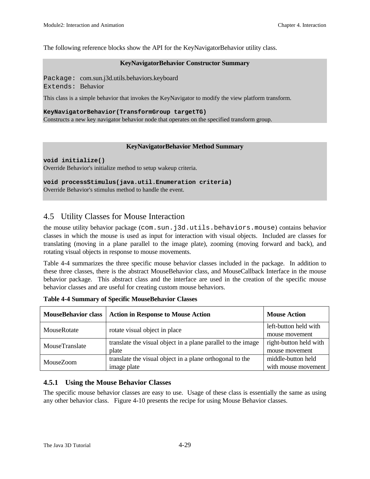The following reference blocks show the API for the KeyNavigatorBehavior utility class.

#### **KeyNavigatorBehavior Constructor Summary**

Package: com.sun.j3d.utils.behaviors.keyboard Extends: Behavior

This class is a simple behavior that invokes the KeyNavigator to modify the view platform transform.

#### **KeyNavigatorBehavior(TransformGroup targetTG)**

Constructs a new key navigator behavior node that operates on the specified transform group.

#### **KeyNavigatorBehavior Method Summary**

**void initialize()**

Override Behavior's initialize method to setup wakeup criteria.

#### **void processStimulus(java.util.Enumeration criteria)**

Override Behavior's stimulus method to handle the event.

#### 4.5 Utility Classes for Mouse Interaction

the mouse utility behavior package (com.sun.j3d.utils.behaviors.mouse) contains behavior classes in which the mouse is used as input for interaction with visual objects. Included are classes for translating (moving in a plane parallel to the image plate), zooming (moving forward and back), and rotating visual objects in response to mouse movements.

Table 4-4 summarizes the three specific mouse behavior classes included in the package. In addition to these three classes, there is the abstract MouseBehavior class, and MouseCallback Interface in the mouse behavior package. This abstract class and the interface are used in the creation of the specific mouse behavior classes and are useful for creating custom mouse behaviors.

| <b>MouseBehavior class</b> | <b>Action in Response to Mouse Action</b>                    | <b>Mouse Action</b>    |
|----------------------------|--------------------------------------------------------------|------------------------|
| MouseRotate                | rotate visual object in place                                | left-button held with  |
|                            |                                                              | mouse movement         |
| MouseTranslate             | translate the visual object in a plane parallel to the image | right-button held with |
|                            | plate                                                        | mouse movement         |
| <b>MouseZoom</b>           | translate the visual object in a plane orthogonal to the     | middle-button held     |
|                            | image plate                                                  | with mouse movement    |

**Table 4-4 Summary of Specific MouseBehavior Classes**

#### **4.5.1 Using the Mouse Behavior Classes**

The specific mouse behavior classes are easy to use. Usage of these class is essentially the same as using any other behavior class. Figure 4-10 presents the recipe for using Mouse Behavior classes.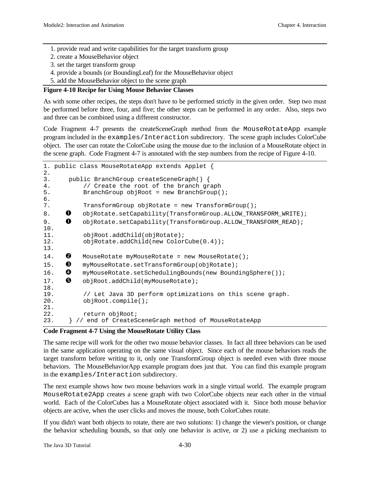- 1. provide read and write capabilities for the target transform group
- 2. create a MouseBehavior object
- 3. set the target transform group
- 4. provide a bounds (or BoundingLeaf) for the MouseBehavior object
- 5. add the MouseBehavior object to the scene graph

#### **Figure 4-10 Recipe for Using Mouse Behavior Classes**

As with some other recipes, the steps don't have to be performed strictly in the given order. Step two must be performed before three, four, and five; the other steps can be performed in any order. Also, steps two and three can be combined using a different constructor.

Code Fragment 4-7 presents the createSceneGraph method from the MouseRotateApp example program included in the examples/Interaction subdirectory. The scene graph includes ColorCube object. The user can rotate the ColorCube using the mouse due to the inclusion of a MouseRotate object in the scene graph. Code Fragment 4-7 is annotated with the step numbers from the recipe of Figure 4-10.

```
1. public class MouseRotateApp extends Applet {
2.
3. public BranchGroup createSceneGraph() {
4. // Create the root of the branch graph<br>5. BranchGroup objRoot = new BranchGroup(
          5. BranchGroup objRoot = new BranchGroup();
6.
7. TransformGroup objRotate = new TransformGroup();
8. •• objRotate.setCapability(TransformGroup.ALLOW_TRANSFORM_WRITE);
9. •• objRotate.setCapability(TransformGroup.ALLOW_TRANSFORM_READ);
10.
11. objRoot.addChild(objRotate);
12. objRotate.addChild(new ColorCube(0.4));
13.
14. \bullet MouseRotate myMouseRotate = new MouseRotate();
15. 6 myMouseRotate.setTransformGroup(objRotate);
16. @ myMouseRotate.setSchedulingBounds(new BoundingSphere());
17. e objRoot.addChild(myMouseRotate);
18.
19. // Let Java 3D perform optimizations on this scene graph.
20. objRoot.compile();
21.
22. return objRoot;
23. } // end of CreateSceneGraph method of MouseRotateApp
```
#### **Code Fragment 4-7 Using the MouseRotate Utility Class**

The same recipe will work for the other two mouse behavior classes. In fact all three behaviors can be used in the same application operating on the same visual object. Since each of the mouse behaviors reads the target transform before writing to it, only one TransformGroup object is needed even with three mouse behaviors. The MouseBehaviorApp example program does just that. You can find this example program in the examples/Interaction subdirectory.

The next example shows how two mouse behaviors work in a single virtual world. The example program MouseRotate2App creates a scene graph with two ColorCube objects near each other in the virtual world. Each of the ColorCubes has a MouseRotate object associated with it. Since both mouse behavior objects are active, when the user clicks and moves the mouse, both ColorCubes rotate.

If you didn't want both objects to rotate, there are two solutions: 1) change the viewer's position, or change the behavior scheduling bounds, so that only one behavior is active, or 2) use a picking mechanism to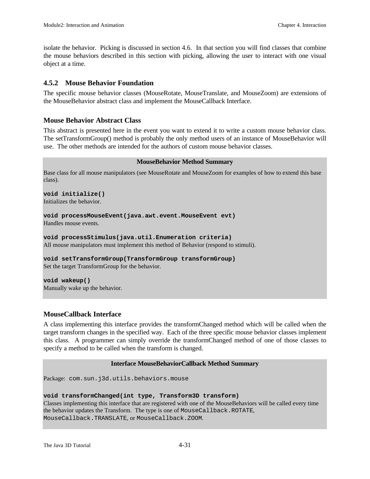isolate the behavior. Picking is discussed in section 4.6. In that section you will find classes that combine the mouse behaviors described in this section with picking, allowing the user to interact with one visual object at a time.

#### **4.5.2 Mouse Behavior Foundation**

The specific mouse behavior classes (MouseRotate, MouseTranslate, and MouseZoom) are extensions of the MouseBehavior abstract class and implement the MouseCallback Interface.

#### **Mouse Behavior Abstract Class**

This abstract is presented here in the event you want to extend it to write a custom mouse behavior class. The setTransformGroup() method is probably the only method users of an instance of MouseBehavior will use. The other methods are intended for the authors of custom mouse behavior classes.

#### **MouseBehavior Method Summary**

Base class for all mouse manipulators (see MouseRotate and MouseZoom for examples of how to extend this base class).

#### **void initialize()**

Initializes the behavior.

**void processMouseEvent(java.awt.event.MouseEvent evt)** Handles mouse events.

**void processStimulus(java.util.Enumeration criteria)** All mouse manipulators must implement this method of Behavior (respond to stimuli).

**void setTransformGroup(TransformGroup transformGroup)** Set the target TransformGroup for the behavior.

**void wakeup()** Manually wake up the behavior.

#### **MouseCallback Interface**

A class implementing this interface provides the transformChanged method which will be called when the target transform changes in the specified way. Each of the three specific mouse behavior classes implement this class. A programmer can simply override the transformChanged method of one of those classes to specify a method to be called when the transform is changed.

#### **Interface MouseBehaviorCallback Method Summary**

Package: com.sun.j3d.utils.behaviors.mouse

#### **void transformChanged(int type, Transform3D transform)**

Classes implementing this interface that are registered with one of the MouseBehaviors will be called every time the behavior updates the Transform. The type is one of MouseCallback.ROTATE, MouseCallback.TRANSLATE, or MouseCallback.ZOOM.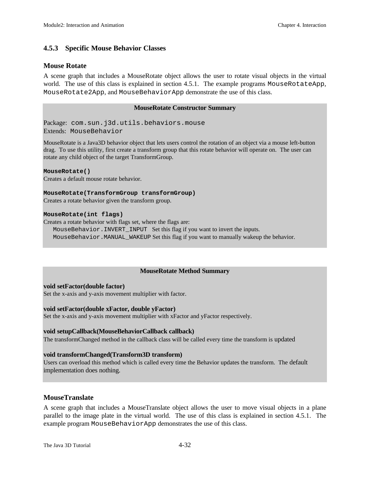#### **4.5.3 Specific Mouse Behavior Classes**

#### **Mouse Rotate**

A scene graph that includes a MouseRotate object allows the user to rotate visual objects in the virtual world. The use of this class is explained in section 4.5.1. The example programs MouseRotateApp, MouseRotate2App, and MouseBehaviorApp demonstrate the use of this class.

#### **MouseRotate Constructor Summary**

Package: com.sun.j3d.utils.behaviors.mouse Extends: MouseBehavior

MouseRotate is a Java3D behavior object that lets users control the rotation of an object via a mouse left-button drag. To use this utility, first create a transform group that this rotate behavior will operate on. The user can rotate any child object of the target TransformGroup.

#### **MouseRotate()**

Creates a default mouse rotate behavior.

#### **MouseRotate(TransformGroup transformGroup)**

Creates a rotate behavior given the transform group.

#### **MouseRotate(int flags)**

Creates a rotate behavior with flags set, where the flags are:

 MouseBehavior.INVERT\_INPUT Set this flag if you want to invert the inputs. MouseBehavior.MANUAL\_WAKEUP Set this flag if you want to manually wakeup the behavior.

#### **MouseRotate Method Summary**

#### **void setFactor(double factor)**

Set the x-axis and y-axis movement multiplier with factor.

#### **void setFactor(double xFactor, double yFactor)**

Set the x-axis and y-axis movement multiplier with xFactor and yFactor respectively.

#### **void setupCallback(MouseBehaviorCallback callback)**

The transformChanged method in the callback class will be called every time the transform is updated

#### **void transformChanged(Transform3D transform)**

Users can overload this method which is called every time the Behavior updates the transform. The default implementation does nothing.

#### **MouseTranslate**

A scene graph that includes a MouseTranslate object allows the user to move visual objects in a plane parallel to the image plate in the virtual world. The use of this class is explained in section 4.5.1. The example program MouseBehaviorApp demonstrates the use of this class.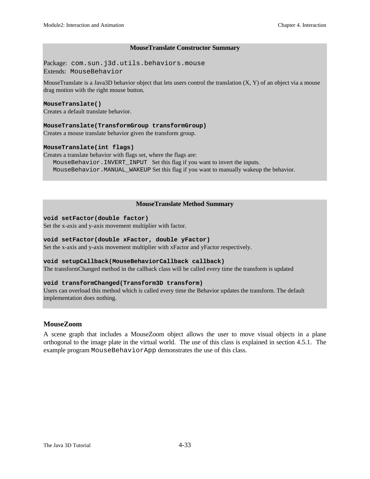#### **MouseTranslate Constructor Summary**

Package: com.sun.j3d.utils.behaviors.mouse Extends: MouseBehavior

MouseTranslate is a Java3D behavior object that lets users control the translation (X, Y) of an object via a mouse drag motion with the right mouse button.

#### **MouseTranslate()**

Creates a default translate behavior.

#### **MouseTranslate(TransformGroup transformGroup)**

Creates a mouse translate behavior given the transform group.

#### **MouseTranslate(int flags)**

Creates a translate behavior with flags set, where the flags are: MouseBehavior.INVERT\_INPUT Set this flag if you want to invert the inputs. MouseBehavior.MANUAL\_WAKEUP Set this flag if you want to manually wakeup the behavior.

#### **MouseTranslate Method Summary**

#### **void setFactor(double factor)**

Set the x-axis and y-axis movement multiplier with factor.

#### **void setFactor(double xFactor, double yFactor)**

Set the x-axis and y-axis movement multiplier with xFactor and yFactor respectively.

#### **void setupCallback(MouseBehaviorCallback callback)**

The transformChanged method in the callback class will be called every time the transform is updated

#### **void transformChanged(Transform3D transform)**

Users can overload this method which is called every time the Behavior updates the transform. The default implementation does nothing.

#### **MouseZoom**

A scene graph that includes a MouseZoom object allows the user to move visual objects in a plane orthogonal to the image plate in the virtual world. The use of this class is explained in section 4.5.1. The example program MouseBehaviorApp demonstrates the use of this class.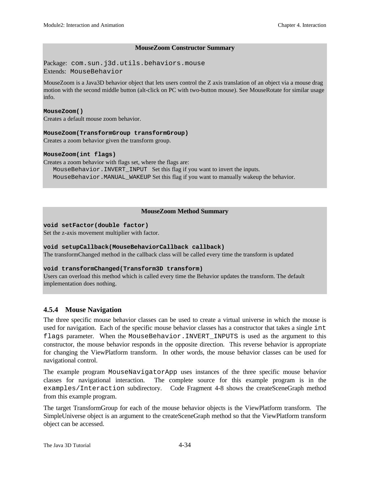#### **MouseZoom Constructor Summary**

Package: com.sun.j3d.utils.behaviors.mouse Extends: MouseBehavior

MouseZoom is a Java3D behavior object that lets users control the Z axis translation of an object via a mouse drag motion with the second middle button (alt-click on PC with two-button mouse). See MouseRotate for similar usage info.

#### **MouseZoom()**

Creates a default mouse zoom behavior.

#### **MouseZoom(TransformGroup transformGroup)**

Creates a zoom behavior given the transform group.

#### **MouseZoom(int flags)**

Creates a zoom behavior with flags set, where the flags are:

 MouseBehavior.INVERT\_INPUT Set this flag if you want to invert the inputs. MouseBehavior.MANUAL\_WAKEUP Set this flag if you want to manually wakeup the behavior.

#### **MouseZoom Method Summary**

#### **void setFactor(double factor)**

Set the z-axis movement multiplier with factor.

#### **void setupCallback(MouseBehaviorCallback callback)**

The transformChanged method in the callback class will be called every time the transform is updated

#### **void transformChanged(Transform3D transform)**

Users can overload this method which is called every time the Behavior updates the transform. The default implementation does nothing.

#### **4.5.4 Mouse Navigation**

The three specific mouse behavior classes can be used to create a virtual universe in which the mouse is used for navigation. Each of the specific mouse behavior classes has a constructor that takes a single int flags parameter. When the MouseBehavior.INVERT\_INPUTS is used as the argument to this constructor, the mouse behavior responds in the opposite direction. This reverse behavior is appropriate for changing the ViewPlatform transform. In other words, the mouse behavior classes can be used for navigational control.

The example program MouseNavigatorApp uses instances of the three specific mouse behavior classes for navigational interaction. The complete source for this example program is in the examples/Interaction subdirectory. Code Fragment 4-8 shows the createSceneGraph method from this example program.

The target TransformGroup for each of the mouse behavior objects is the ViewPlatform transform. The SimpleUniverse object is an argument to the createSceneGraph method so that the ViewPlatform transform object can be accessed.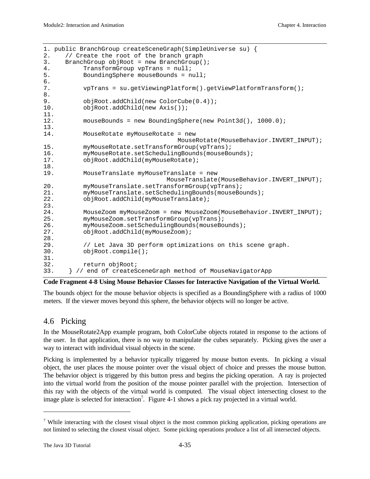```
1. public BranchGroup createSceneGraph(SimpleUniverse su) {
2. // Create the root of the branch graph
3. BranchGroup objRoot = new BranchGroup();
4. TransformGroup vpTrans = null;
5. BoundingSphere mouseBounds = null;
6.
7. vpTrans = su.getViewingPlatform().getViewPlatformTransform();
8.
9. objRoot.addChild(new ColorCube(0.4));
10. objRoot.addChild(new Axis());
11.
12. mouseBounds = new BoundingSphere(new Point3d(), 1000.0);
13.
14. MouseRotate myMouseRotate = new
MouseRotate(MouseBehavior.INVERT_INPUT);<br>15. mvMouseRotate.setTransformGroup(vpTrans);
          myMouseRotate.setTransformGroup(vpTrans);
16. myMouseRotate.setSchedulingBounds(mouseBounds);
17. objRoot.addChild(myMouseRotate);
18.
19. MouseTranslate myMouseTranslate = new
                                 MouseTranslate(MouseBehavior.INVERT_INPUT);
20. myMouseTranslate.setTransformGroup(vpTrans);
21. myMouseTranslate.setSchedulingBounds(mouseBounds);
22. objRoot.addChild(myMouseTranslate);
\frac{23}{24}.
          MouseZoom myMouseZoom = new MouseZoom(MouseBehavior.INVERT_INPUT);
25. myMouseZoom.setTransformGroup(vpTrans);
26. myMouseZoom.setSchedulingBounds(mouseBounds);
27. objRoot.addChild(myMouseZoom);
28.
29. // Let Java 3D perform optimizations on this scene graph.<br>30. objRoot.compile();
          30. objRoot.compile();
31.
32. return objRoot;
33. } // end of createSceneGraph method of MouseNavigatorApp
```
#### **Code Fragment 4-8 Using Mouse Behavior Classes for Interactive Navigation of the Virtual World.**

The bounds object for the mouse behavior objects is specified as a BoundingSphere with a radius of 1000 meters. If the viewer moves beyond this sphere, the behavior objects will no longer be active.

#### 4.6 Picking

In the MouseRotate2App example program, both ColorCube objects rotated in response to the actions of the user. In that application, there is no way to manipulate the cubes separately. Picking gives the user a way to interact with individual visual objects in the scene.

Picking is implemented by a behavior typically triggered by mouse button events. In picking a visual object, the user places the mouse pointer over the visual object of choice and presses the mouse button. The behavior object is triggered by this button press and begins the picking operation. A ray is projected into the virtual world from the position of the mouse pointer parallel with the projection. Intersection of this ray with the objects of the virtual world is computed. The visual object intersecting closest to the image plate is selected for interaction<sup>7</sup>. Figure 4-1 shows a pick ray projected in a virtual world.

 $\overline{a}$ 

<sup>&</sup>lt;sup>7</sup> While interacting with the closest visual object is the most common picking application, picking operations are not limited to selecting the closest visual object. Some picking operations produce a list of all intersected objects.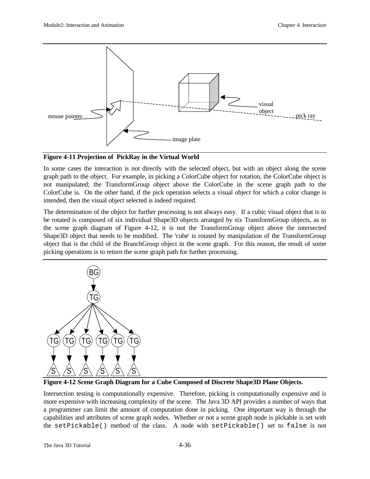

**Figure 4-11 Projection of PickRay in the Virtual World**

In some cases the interaction is not directly with the selected object, but with an object along the scene graph path to the object. For example, in picking a ColorCube object for rotation, the ColorCube object is not manipulated; the TransformGroup object above the ColorCube in the scene graph path to the ColorCube is. On the other hand, if the pick operation selects a visual object for which a color change is intended, then the visual object selected is indeed required.

The determination of the object for further processing is not always easy. If a cubic visual object that is to be rotated is composed of six individual Shape3D objects arranged by six TransformGroup objects, as in the scene graph diagram of Figure 4-12, it is not the TransformGroup object above the intersected Shape3D object that needs to be modified. The 'cube' is rotated by manipulation of the TransformGroup object that is the child of the BranchGroup object in the scene graph. For this reason, the result of some picking operations is to return the scene graph path for further processing.



**Figure 4-12 Scene Graph Diagram for a Cube Composed of Discrete Shape3D Plane Objects.**

Intersection testing is computationally expensive. Therefore, picking is computationally expensive and is more expensive with increasing complexity of the scene. The Java 3D API provides a number of ways that a programmer can limit the amount of computation done in picking. One important way is through the capabilities and attributes of scene graph nodes. Whether or not a scene graph node is pickable is set with the setPickable() method of the class. A node with setPickable() set to false is not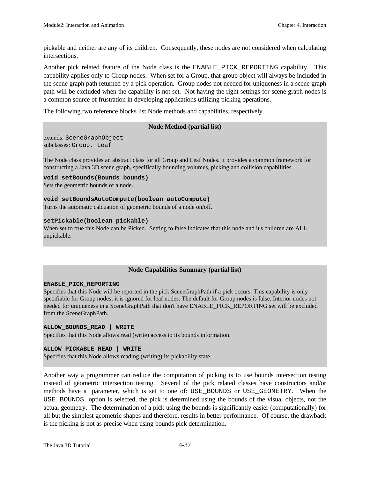pickable and neither are any of its children. Consequently, these nodes are not considered when calculating intersections.

Another pick related feature of the Node class is the ENABLE\_PICK\_REPORTING capability. This capability applies only to Group nodes. When set for a Group, that group object will always be included in the scene graph path returned by a pick operation. Group nodes not needed for uniqueness in a scene graph path will be excluded when the capability is not set. Not having the right settings for scene graph nodes is a common source of frustration in developing applications utilizing picking operations.

The following two reference blocks list Node methods and capabilities, respectively.

#### **Node Method (partial list)**

extends: SceneGraphObject subclasses: Group, Leaf

The Node class provides an abstract class for all Group and Leaf Nodes. It provides a common framework for constructing a Java 3D scene graph, specifically bounding volumes, picking and collision capabilities.

**void setBounds(Bounds bounds)** Sets the geometric bounds of a node.

**void setBoundsAutoCompute(boolean autoCompute)** Turns the automatic calcuation of geometric bounds of a node on/off.

#### **setPickable(boolean pickable)**

When set to true this Node can be Picked. Setting to false indicates that this node and it's children are ALL unpickable.

#### **Node Capabilities Summary (partial list)**

#### **ENABLE\_PICK\_REPORTING**

Specifies that this Node will be reported in the pick SceneGraphPath if a pick occurs. This capability is only specifiable for Group nodes; it is ignored for leaf nodes. The default for Group nodes is false. Interior nodes not needed for uniqueness in a SceneGraphPath that don't have ENABLE\_PICK\_REPORTING set will be excluded from the SceneGraphPath.

#### **ALLOW\_BOUNDS\_READ | WRITE**

Specifies that this Node allows read (write) access to its bounds information.

#### **ALLOW\_PICKABLE\_READ | WRITE**

Specifies that this Node allows reading (writing) its pickability state.

Another way a programmer can reduce the computation of picking is to use bounds intersection testing instead of geometric intersection testing. Several of the pick related classes have constructors and/or methods have a parameter, which is set to one of: USE\_BOUNDS or USE\_GEOMETRY. When the USE\_BOUNDS option is selected, the pick is determined using the bounds of the visual objects, not the actual geometry. The determination of a pick using the bounds is significantly easier (computationally) for all but the simplest geometric shapes and therefore, results in better performance. Of course, the drawback is the picking is not as precise when using bounds pick determination.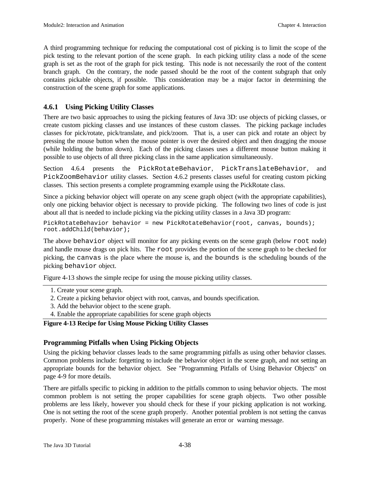A third programming technique for reducing the computational cost of picking is to limit the scope of the pick testing to the relevant portion of the scene graph. In each picking utility class a node of the scene graph is set as the root of the graph for pick testing. This node is not necessarily the root of the content branch graph. On the contrary, the node passed should be the root of the content subgraph that only contains pickable objects, if possible. This consideration may be a major factor in determining the construction of the scene graph for some applications.

#### **4.6.1 Using Picking Utility Classes**

There are two basic approaches to using the picking features of Java 3D: use objects of picking classes, or create custom picking classes and use instances of these custom classes. The picking package includes classes for pick/rotate, pick/translate, and pick/zoom. That is, a user can pick and rotate an object by pressing the mouse button when the mouse pointer is over the desired object and then dragging the mouse (while holding the button down). Each of the picking classes uses a different mouse button making it possible to use objects of all three picking class in the same application simultaneously.

Section 4.6.4 presents the PickRotateBehavior, PickTranslateBehavior, and PickZoomBehavior utility classes. Section 4.6.2 presents classes useful for creating custom picking classes. This section presents a complete programming example using the PickRotate class.

Since a picking behavior object will operate on any scene graph object (with the appropriate capabilities), only one picking behavior object is necessary to provide picking. The following two lines of code is just about all that is needed to include picking via the picking utility classes in a Java 3D program:

```
PickRotateBehavior behavior = new PickRotateBehavior(root, canvas, bounds);
root.addChild(behavior);
```
The above behavior object will monitor for any picking events on the scene graph (below root node) and handle mouse drags on pick hits. The root provides the portion of the scene graph to be checked for picking, the canvas is the place where the mouse is, and the bounds is the scheduling bounds of the picking behavior object.

Figure 4-13 shows the simple recipe for using the mouse picking utility classes.

- 1. Create your scene graph.
- 2. Create a picking behavior object with root, canvas, and bounds specification.
- 3. Add the behavior object to the scene graph.
- 4. Enable the appropriate capabilities for scene graph objects

#### **Figure 4-13 Recipe for Using Mouse Picking Utility Classes**

#### **Programming Pitfalls when Using Picking Objects**

Using the picking behavior classes leads to the same programming pitfalls as using other behavior classes. Common problems include: forgetting to include the behavior object in the scene graph, and not setting an appropriate bounds for the behavior object. See "Programming Pitfalls of Using Behavior Objects" on page 4-9 for more details.

There are pitfalls specific to picking in addition to the pitfalls common to using behavior objects. The most common problem is not setting the proper capabilities for scene graph objects. Two other possible problems are less likely, however you should check for these if your picking application is not working. One is not setting the root of the scene graph properly. Another potential problem is not setting the canvas properly. None of these programming mistakes will generate an error or warning message.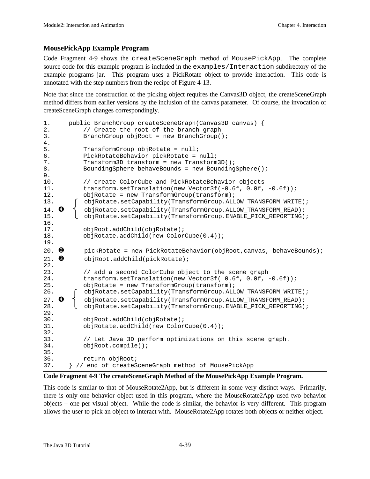#### **MousePickApp Example Program**

Code Fragment 4-9 shows the createSceneGraph method of MousePickApp. The complete source code for this example program is included in the examples/Interaction subdirectory of the example programs jar. This program uses a PickRotate object to provide interaction. This code is annotated with the step numbers from the recipe of Figure 4-13.

Note that since the construction of the picking object requires the Canvas3D object, the createSceneGraph method differs from earlier versions by the inclusion of the canvas parameter. Of course, the invocation of createSceneGraph changes correspondingly.

```
1. public BranchGroup createSceneGraph(Canvas3D canvas) {<br>2. // Create the root of the branch graph
           // Create the root of the branch graph
3. BranchGroup objRoot = new BranchGroup();
\frac{4}{5}.
          TransformGroup objRotate = null;
6. PickRotateBehavior pickRotate = null;
7. Transform3D transform = new Transform3D();
8. BoundingSphere behaveBounds = new BoundingSphere();
9.
10. // create ColorCube and PickRotateBehavior objects
11. transform.setTranslation(new Vector3f(-0.6f, 0.0f, -0.6f));
12. objRotate = new TransformGroup(transform);
13. COMPTATHLOW CONTROLLOW CONTRANSTORM_ORTHLOGET (SCAPETED);
14. \bullet \uparrow objRotate.setCapability(TransformGroup.ALLOW_TRANSFORM_READ);
15. objRotate.setCapability(TransformGroup.ENABLE_PICK_REPORTING);
16.
17. objRoot.addChild(objRotate);
18. objRotate.addChild(new ColorCube(0.4));
19.
20. \bullet pickRotate = new PickRotateBehavior(objRoot, canvas, behaveBounds);
21. <sup>6</sup> objRoot.addChild(pickRotate);
22.
23. // add a second ColorCube object to the scene graph
24. transform.setTranslation(new Vector3f( 0.6f, 0.0f, -0.6f));
25. objRotate = new TransformGroup(transform);
26. objRotate.setCapability(TransformGroup.ALLOW_TRANSFORM_WRITE);
27. \bullet \uparrow objRotate.setCapability(TransformGroup.ALLOW_TRANSFORM_READ);
28. objRotate.setCapability(TransformGroup.ENABLE_PICK_REPORTING);
29.
30. objRoot.addChild(objRotate);
31. objRotate.addChild(new ColorCube(0.4));
32.
33. // Let Java 3D perform optimizations on this scene graph.<br>34.           obiRoot.compile();
          34. objRoot.compile();
35.
36. return objRoot;
37. } // end of createSceneGraph method of MousePickApp
```
#### **Code Fragment 4-9 The createSceneGraph Method of the MousePickApp Example Program.**

This code is similar to that of MouseRotate2App, but is different in some very distinct ways. Primarily, there is only one behavior object used in this program, where the MouseRotate2App used two behavior objects – one per visual object. While the code is similar, the behavior is very different. This program allows the user to pick an object to interact with. MouseRotate2App rotates both objects or neither object.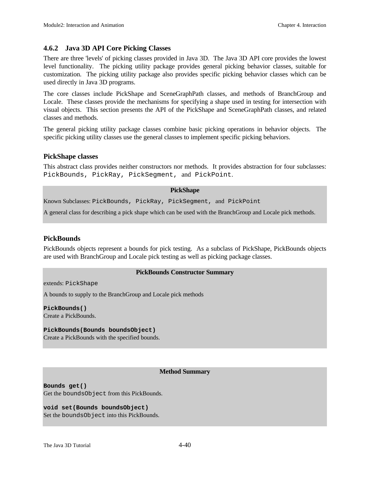#### **4.6.2 Java 3D API Core Picking Classes**

There are three 'levels' of picking classes provided in Java 3D. The Java 3D API core provides the lowest level functionality. The picking utility package provides general picking behavior classes, suitable for customization. The picking utility package also provides specific picking behavior classes which can be used directly in Java 3D programs.

The core classes include PickShape and SceneGraphPath classes, and methods of BranchGroup and Locale. These classes provide the mechanisms for specifying a shape used in testing for intersection with visual objects. This section presents the API of the PickShape and SceneGraphPath classes, and related classes and methods.

The general picking utility package classes combine basic picking operations in behavior objects. The specific picking utility classes use the general classes to implement specific picking behaviors.

#### **PickShape classes**

This abstract class provides neither constructors nor methods. It provides abstraction for four subclasses: PickBounds, PickRay, PickSegment, and PickPoint.

#### **PickShape**

Known Subclasses: PickBounds, PickRay, PickSegment, and PickPoint

A general class for describing a pick shape which can be used with the BranchGroup and Locale pick methods.

#### **PickBounds**

PickBounds objects represent a bounds for pick testing. As a subclass of PickShape, PickBounds objects are used with BranchGroup and Locale pick testing as well as picking package classes.

#### **PickBounds Constructor Summary**

extends: PickShape

A bounds to supply to the BranchGroup and Locale pick methods

**PickBounds()** Create a PickBounds.

**PickBounds(Bounds boundsObject)**

Create a PickBounds with the specified bounds.

#### **Method Summary**

**Bounds get()** Get the boundsObject from this PickBounds.

**void set(Bounds boundsObject)** Set the boundsObject into this PickBounds.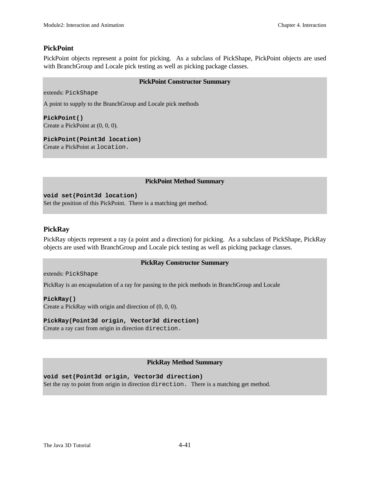#### **PickPoint**

PickPoint objects represent a point for picking. As a subclass of PickShape, PickPoint objects are used with BranchGroup and Locale pick testing as well as picking package classes.

#### **PickPoint Constructor Summary**

extends: PickShape

A point to supply to the BranchGroup and Locale pick methods

**PickPoint()** Create a PickPoint at (0, 0, 0).

**PickPoint(Point3d location)** Create a PickPoint at location.

#### **PickPoint Method Summary**

**void set(Point3d location)** Set the position of this PickPoint. There is a matching get method.

#### **PickRay**

PickRay objects represent a ray (a point and a direction) for picking. As a subclass of PickShape, PickRay objects are used with BranchGroup and Locale pick testing as well as picking package classes.

#### **PickRay Constructor Summary**

extends: PickShape

PickRay is an encapsulation of a ray for passing to the pick methods in BranchGroup and Locale

**PickRay()** Create a PickRay with origin and direction of (0, 0, 0).

#### **PickRay(Point3d origin, Vector3d direction)**

Create a ray cast from origin in direction direction.

#### **PickRay Method Summary**

**void set(Point3d origin, Vector3d direction)**

Set the ray to point from origin in direction direction. There is a matching get method.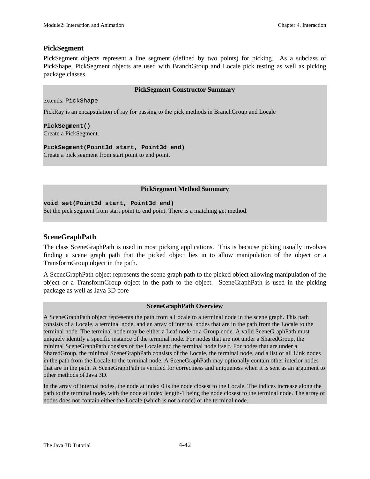#### **PickSegment**

PickSegment objects represent a line segment (defined by two points) for picking. As a subclass of PickShape, PickSegment objects are used with BranchGroup and Locale pick testing as well as picking package classes.

#### **PickSegment Constructor Summary**

extends: PickShape

PickRay is an encapsulation of ray for passing to the pick methods in BranchGroup and Locale

**PickSegment()** Create a PickSegment.

**PickSegment(Point3d start, Point3d end)** Create a pick segment from start point to end point.

#### **PickSegment Method Summary**

**void set(Point3d start, Point3d end)** Set the pick segment from start point to end point. There is a matching get method.

#### **SceneGraphPath**

The class SceneGraphPath is used in most picking applications. This is because picking usually involves finding a scene graph path that the picked object lies in to allow manipulation of the object or a TransformGroup object in the path.

A SceneGraphPath object represents the scene graph path to the picked object allowing manipulation of the object or a TransformGroup object in the path to the object. SceneGraphPath is used in the picking package as well as Java 3D core

#### **SceneGraphPath Overview**

A SceneGraphPath object represents the path from a Locale to a terminal node in the scene graph. This path consists of a Locale, a terminal node, and an array of internal nodes that are in the path from the Locale to the terminal node. The terminal node may be either a Leaf node or a Group node. A valid SceneGraphPath must uniquely identify a specific instance of the terminal node. For nodes that are not under a SharedGroup, the minimal SceneGraphPath consists of the Locale and the terminal node itself. For nodes that are under a SharedGroup, the minimal SceneGraphPath consists of the Locale, the terminal node, and a list of all Link nodes in the path from the Locale to the terminal node. A SceneGraphPath may optionally contain other interior nodes that are in the path. A SceneGraphPath is verified for correctness and uniqueness when it is sent as an argument to other methods of Java 3D.

In the array of internal nodes, the node at index 0 is the node closest to the Locale. The indices increase along the path to the terminal node, with the node at index length-1 being the node closest to the terminal node. The array of nodes does not contain either the Locale (which is not a node) or the terminal node.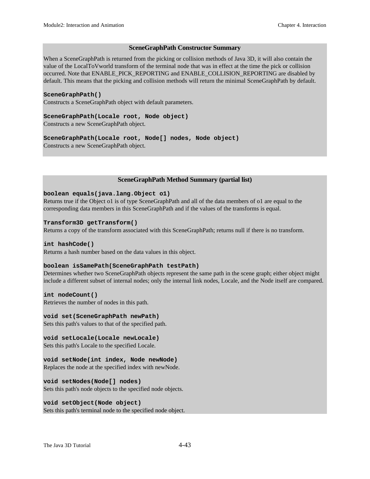#### **SceneGraphPath Constructor Summary**

When a SceneGraphPath is returned from the picking or collision methods of Java 3D, it will also contain the value of the LocalToVworld transform of the terminal node that was in effect at the time the pick or collision occurred. Note that ENABLE\_PICK\_REPORTING and ENABLE\_COLLISION\_REPORTING are disabled by default. This means that the picking and collision methods will return the minimal SceneGraphPath by default.

#### **SceneGraphPath()**

Constructs a SceneGraphPath object with default parameters.

#### **SceneGraphPath(Locale root, Node object)**

Constructs a new SceneGraphPath object.

#### **SceneGraphPath(Locale root, Node[] nodes, Node object)**

Constructs a new SceneGraphPath object.

#### **SceneGraphPath Method Summary (partial list)**

#### **boolean equals(java.lang.Object o1)**

Returns true if the Object o1 is of type SceneGraphPath and all of the data members of o1 are equal to the corresponding data members in this SceneGraphPath and if the values of the transforms is equal.

#### **Transform3D getTransform()**

Returns a copy of the transform associated with this SceneGraphPath; returns null if there is no transform.

#### **int hashCode()**

Returns a hash number based on the data values in this object.

#### **boolean isSamePath(SceneGraphPath testPath)**

Determines whether two SceneGraphPath objects represent the same path in the scene graph; either object might include a different subset of internal nodes; only the internal link nodes, Locale, and the Node itself are compared.

#### **int nodeCount()**

Retrieves the number of nodes in this path.

#### **void set(SceneGraphPath newPath)**

Sets this path's values to that of the specified path.

#### **void setLocale(Locale newLocale)**

Sets this path's Locale to the specified Locale.

#### **void setNode(int index, Node newNode)**

Replaces the node at the specified index with newNode.

#### **void setNodes(Node[] nodes)**

Sets this path's node objects to the specified node objects.

#### **void setObject(Node object)**

Sets this path's terminal node to the specified node object.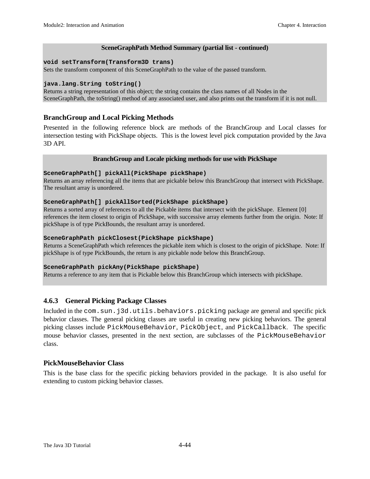#### **SceneGraphPath Method Summary (partial list - continued)**

#### **void setTransform(Transform3D trans)**

Sets the transform component of this SceneGraphPath to the value of the passed transform.

#### **java.lang.String toString()**

Returns a string representation of this object; the string contains the class names of all Nodes in the SceneGraphPath, the toString() method of any associated user, and also prints out the transform if it is not null.

#### **BranchGroup and Local Picking Methods**

Presented in the following reference block are methods of the BranchGroup and Local classes for intersection testing with PickShape objects. This is the lowest level pick computation provided by the Java 3D API.

#### **BranchGroup and Locale picking methods for use with PickShape**

#### **SceneGraphPath[] pickAll(PickShape pickShape)**

Returns an array referencing all the items that are pickable below this BranchGroup that intersect with PickShape. The resultant array is unordered.

#### **SceneGraphPath[] pickAllSorted(PickShape pickShape)**

Returns a sorted array of references to all the Pickable items that intersect with the pickShape. Element [0] references the item closest to origin of PickShape, with successive array elements further from the origin. Note: If pickShape is of type PickBounds, the resultant array is unordered.

#### **SceneGraphPath pickClosest(PickShape pickShape)**

Returns a SceneGraphPath which references the pickable item which is closest to the origin of pickShape. Note: If pickShape is of type PickBounds, the return is any pickable node below this BranchGroup.

#### **SceneGraphPath pickAny(PickShape pickShape)**

Returns a reference to any item that is Pickable below this BranchGroup which intersects with pickShape.

#### **4.6.3 General Picking Package Classes**

Included in the com.sun.j3d.utils.behaviors.picking package are general and specific pick behavior classes. The general picking classes are useful in creating new picking behaviors. The general picking classes include PickMouseBehavior, PickObject, and PickCallback. The specific mouse behavior classes, presented in the next section, are subclasses of the PickMouseBehavior class.

#### **PickMouseBehavior Class**

This is the base class for the specific picking behaviors provided in the package. It is also useful for extending to custom picking behavior classes.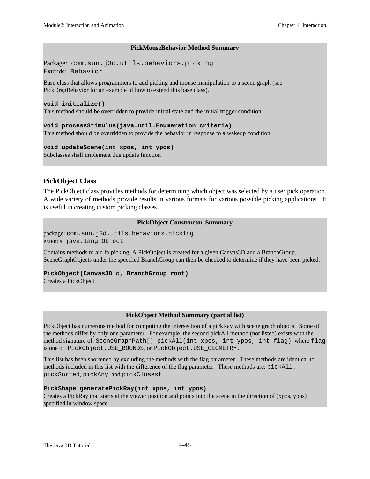#### **PickMouseBehavior Method Summary**

Package: com.sun.j3d.utils.behaviors.picking Extends: Behavior

Base class that allows programmers to add picking and mouse manipulation to a scene graph (see PickDragBehavior for an example of how to extend this base class).

#### **void initialize()**

This method should be overridden to provide initial state and the initial trigger condition.

#### **void processStimulus(java.util.Enumeration criteria)**

This method should be overridden to provide the behavior in response to a wakeup condition.

#### **void updateScene(int xpos, int ypos)**

Subclasses shall implement this update function

#### **PickObject Class**

The PickObject class provides methods for determining which object was selected by a user pick operation. A wide variety of methods provide results in various formats for various possible picking applications. It is useful in creating custom picking classes.

#### **PickObject Constructor Summary**

package: com.sun.j3d.utils.behaviors.picking extends: java.lang.Object

Contains methods to aid in picking. A PickObject is created for a given Canvas3D and a BranchGroup. SceneGraphObjects under the specified BranchGroup can then be checked to determine if they have been picked.

#### **PickObject(Canvas3D c, BranchGroup root)**

Creates a PickObject.

#### **PickObject Method Summary (partial list)**

PickObject has numerous method for computing the intersection of a pickRay with scene graph objects. Some of the methods differ by only one parameter. For example, the second pickAll method (not listed) exists with the method signature of: SceneGraphPath[] pickAll(int xpos, int ypos, int flag), where flag is one of: PickObject.USE\_BOUNDS, or PickObject.USE\_GEOMETRY.

This list has been shortened by excluding the methods with the flag parameter. These methods are identical to methods included in this list with the difference of the flag parameter. These methods are: pickAll , pickSorted, pickAny, and pickClosest.

#### **PickShape generatePickRay(int xpos, int ypos)**

Creates a PickRay that starts at the viewer position and points into the scene in the direction of (xpos, ypos) specified in window space.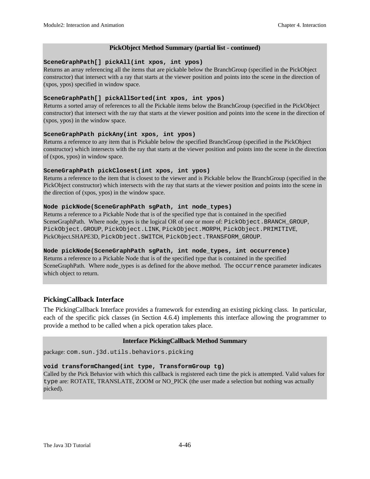#### **PickObject Method Summary (partial list - continued)**

#### **SceneGraphPath[] pickAll(int xpos, int ypos)**

Returns an array referencing all the items that are pickable below the BranchGroup (specified in the PickObject constructor) that intersect with a ray that starts at the viewer position and points into the scene in the direction of (xpos, ypos) specified in window space.

#### **SceneGraphPath[] pickAllSorted(int xpos, int ypos)**

Returns a sorted array of references to all the Pickable items below the BranchGroup (specified in the PickObject constructor) that intersect with the ray that starts at the viewer position and points into the scene in the direction of (xpos, ypos) in the window space.

#### **SceneGraphPath pickAny(int xpos, int ypos)**

Returns a reference to any item that is Pickable below the specified BranchGroup (specified in the PickObject constructor) which intersects with the ray that starts at the viewer position and points into the scene in the direction of (xpos, ypos) in window space.

#### **SceneGraphPath pickClosest(int xpos, int ypos)**

Returns a reference to the item that is closest to the viewer and is Pickable below the BranchGroup (specified in the PickObject constructor) which intersects with the ray that starts at the viewer position and points into the scene in the direction of (xpos, ypos) in the window space.

#### **Node pickNode(SceneGraphPath sgPath, int node\_types)**

Returns a reference to a Pickable Node that is of the specified type that is contained in the specified SceneGraphPath. Where node types is the logical OR of one or more of: PickObject.BRANCH\_GROUP, PickObject.GROUP, PickObject.LINK, PickObject.MORPH, PickObject.PRIMITIVE, PickObject.SHAPE3D, PickObject.SWITCH, PickObject.TRANSFORM\_GROUP.

#### **Node pickNode(SceneGraphPath sgPath, int node\_types, int occurrence)**

Returns a reference to a Pickable Node that is of the specified type that is contained in the specified SceneGraphPath. Where node\_types is as defined for the above method. The occurrence parameter indicates which object to return.

#### **PickingCallback Interface**

The PickingCallback Interface provides a framework for extending an existing picking class. In particular, each of the specific pick classes (in Section 4.6.4) implements this interface allowing the programmer to provide a method to be called when a pick operation takes place.

#### **Interface PickingCallback Method Summary**

package: com.sun.j3d.utils.behaviors.picking

#### **void transformChanged(int type, TransformGroup tg)**

Called by the Pick Behavior with which this callback is registered each time the pick is attempted. Valid values for type are: ROTATE, TRANSLATE, ZOOM or NO\_PICK (the user made a selection but nothing was actually picked).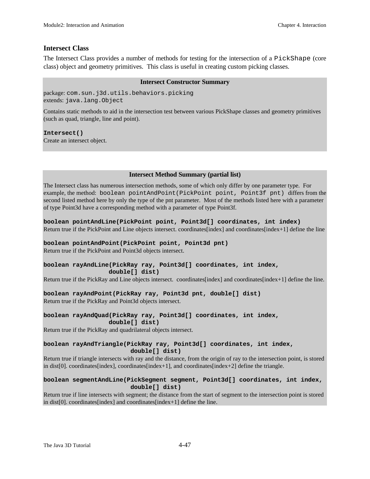#### **Intersect Class**

The Intersect Class provides a number of methods for testing for the intersection of a PickShape (core class) object and geometry primitives. This class is useful in creating custom picking classes.

#### **Intersect Constructor Summary**

package: com.sun.j3d.utils.behaviors.picking extends: java.lang.Object

Contains static methods to aid in the intersection test between various PickShape classes and geometry primitives (such as quad, triangle, line and point).

**Intersect()** Create an intersect object.

#### **Intersect Method Summary (partial list)**

The Intersect class has numerous intersection methods, some of which only differ by one parameter type. For example, the method: boolean pointAndPoint(PickPoint point, Point3f pnt) differs from the second listed method here by only the type of the pnt parameter. Most of the methods listed here with a parameter of type Point3d have a corresponding method with a parameter of type Point3f.

**boolean pointAndLine(PickPoint point, Point3d[] coordinates, int index)** Return true if the PickPoint and Line objects intersect. coordinates[index] and coordinates[index+1] define the line

#### **boolean pointAndPoint(PickPoint point, Point3d pnt)**

Return true if the PickPoint and Point3d objects intersect.

#### **boolean rayAndLine(PickRay ray, Point3d[] coordinates, int index, double[] dist)**

Return true if the PickRay and Line objects intersect. coordinates[index] and coordinates[index+1] define the line.

#### **boolean rayAndPoint(PickRay ray, Point3d pnt, double[] dist)**

Return true if the PickRay and Point3d objects intersect.

#### **boolean rayAndQuad(PickRay ray, Point3d[] coordinates, int index, double[] dist)**

Return true if the PickRay and quadrilateral objects intersect.

#### **boolean rayAndTriangle(PickRay ray, Point3d[] coordinates, int index, double[] dist)**

Return true if triangle intersects with ray and the distance, from the origin of ray to the intersection point, is stored in dist[0]. coordinates[index], coordinates[index+1], and coordinates[index+2] define the triangle.

#### **boolean segmentAndLine(PickSegment segment, Point3d[] coordinates, int index, double[] dist)**

Return true if line intersects with segment; the distance from the start of segment to the intersection point is stored in dist[0]. coordinates[index] and coordinates[index+1] define the line.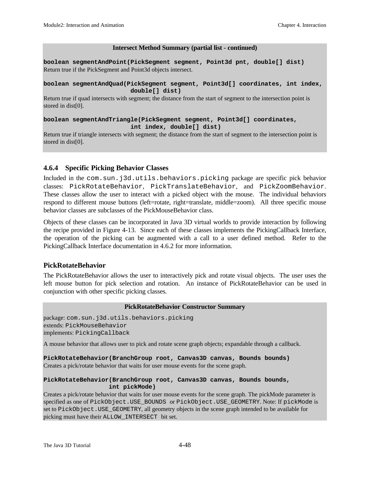#### **Intersect Method Summary (partial list - continued)**

**boolean segmentAndPoint(PickSegment segment, Point3d pnt, double[] dist)** Return true if the PickSegment and Point3d objects intersect.

#### **boolean segmentAndQuad(PickSegment segment, Point3d[] coordinates, int index, double[] dist)**

Return true if quad intersects with segment; the distance from the start of segment to the intersection point is stored in dist[0].

#### **boolean segmentAndTriangle(PickSegment segment, Point3d[] coordinates, int index, double[] dist)**

Return true if triangle intersects with segment; the distance from the start of segment to the intersection point is stored in dist[0].

#### **4.6.4 Specific Picking Behavior Classes**

Included in the com.sun.j3d.utils.behaviors.picking package are specific pick behavior classes: PickRotateBehavior, PickTranslateBehavior, and PickZoomBehavior. These classes allow the user to interact with a picked object with the mouse. The individual behaviors respond to different mouse buttons (left=rotate, right=translate, middle=zoom). All three specific mouse behavior classes are subclasses of the PickMouseBehavior class.

Objects of these classes can be incorporated in Java 3D virtual worlds to provide interaction by following the recipe provided in Figure 4-13. Since each of these classes implements the PickingCallback Interface, the operation of the picking can be augmented with a call to a user defined method. Refer to the PickingCallback Interface documentation in 4.6.2 for more information.

#### **PickRotateBehavior**

The PickRotateBehavior allows the user to interactively pick and rotate visual objects. The user uses the left mouse button for pick selection and rotation. An instance of PickRotateBehavior can be used in conjunction with other specific picking classes.

#### **PickRotateBehavior Constructor Summary**

package: com.sun.j3d.utils.behaviors.picking extends: PickMouseBehavior implements: PickingCallback

A mouse behavior that allows user to pick and rotate scene graph objects; expandable through a callback.

**PickRotateBehavior(BranchGroup root, Canvas3D canvas, Bounds bounds)** Creates a pick/rotate behavior that waits for user mouse events for the scene graph.

#### **PickRotateBehavior(BranchGroup root, Canvas3D canvas, Bounds bounds, int pickMode)**

Creates a pick/rotate behavior that waits for user mouse events for the scene graph. The pickMode parameter is specified as one of PickObject.USE\_BOUNDS or PickObject.USE\_GEOMETRY. Note: If pickMode is set to PickObject.USE\_GEOMETRY, all geometry objects in the scene graph intended to be available for picking must have their ALLOW\_INTERSECT bit set.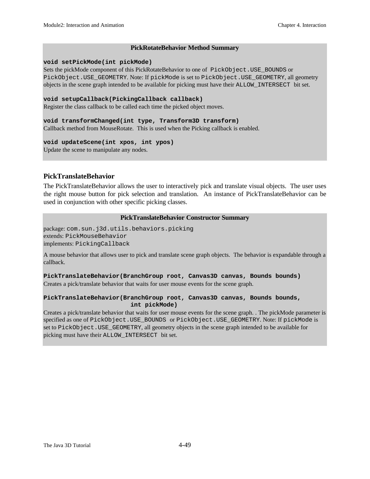#### **PickRotateBehavior Method Summary**

#### **void setPickMode(int pickMode)**

Sets the pickMode component of this PickRotateBehavior to one of PickObject. USE\_BOUNDS or PickObject.USE\_GEOMETRY. Note: If pickMode is set to PickObject.USE\_GEOMETRY, all geometry objects in the scene graph intended to be available for picking must have their ALLOW\_INTERSECT bit set.

#### **void setupCallback(PickingCallback callback)**

Register the class callback to be called each time the picked object moves.

#### **void transformChanged(int type, Transform3D transform)** Callback method from MouseRotate. This is used when the Picking callback is enabled.

#### **void updateScene(int xpos, int ypos)**

Update the scene to manipulate any nodes.

#### **PickTranslateBehavior**

The PickTranslateBehavior allows the user to interactively pick and translate visual objects. The user uses the right mouse button for pick selection and translation. An instance of PickTranslateBehavior can be used in conjunction with other specific picking classes.

#### **PickTranslateBehavior Constructor Summary**

package: com.sun.j3d.utils.behaviors.picking extends: PickMouseBehavior implements: PickingCallback

A mouse behavior that allows user to pick and translate scene graph objects. The behavior is expandable through a callback.

**PickTranslateBehavior(BranchGroup root, Canvas3D canvas, Bounds bounds)** Creates a pick/translate behavior that waits for user mouse events for the scene graph.

#### **PickTranslateBehavior(BranchGroup root, Canvas3D canvas, Bounds bounds, int pickMode)**

Creates a pick/translate behavior that waits for user mouse events for the scene graph. . The pickMode parameter is specified as one of PickObject.USE\_BOUNDS or PickObject.USE\_GEOMETRY. Note: If pickMode is set to PickObject.USE\_GEOMETRY, all geometry objects in the scene graph intended to be available for picking must have their ALLOW\_INTERSECT bit set.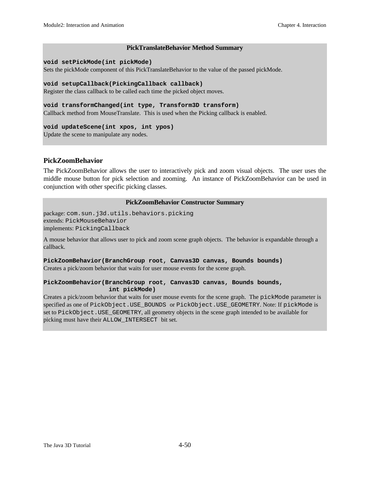#### **PickTranslateBehavior Method Summary**

#### **void setPickMode(int pickMode)**

Sets the pickMode component of this PickTranslateBehavior to the value of the passed pickMode.

#### **void setupCallback(PickingCallback callback)**

Register the class callback to be called each time the picked object moves.

#### **void transformChanged(int type, Transform3D transform)**

Callback method from MouseTranslate. This is used when the Picking callback is enabled.

#### **void updateScene(int xpos, int ypos)**

Update the scene to manipulate any nodes.

#### **PickZoomBehavior**

The PickZoomBehavior allows the user to interactively pick and zoom visual objects. The user uses the middle mouse button for pick selection and zooming. An instance of PickZoomBehavior can be used in conjunction with other specific picking classes.

#### **PickZoomBehavior Constructor Summary**

package: com.sun.j3d.utils.behaviors.picking extends: PickMouseBehavior implements: PickingCallback

A mouse behavior that allows user to pick and zoom scene graph objects. The behavior is expandable through a callback.

#### **PickZoomBehavior(BranchGroup root, Canvas3D canvas, Bounds bounds)** Creates a pick/zoom behavior that waits for user mouse events for the scene graph.

#### **PickZoomBehavior(BranchGroup root, Canvas3D canvas, Bounds bounds, int pickMode)**

Creates a pick/zoom behavior that waits for user mouse events for the scene graph. The pickMode parameter is specified as one of PickObject.USE\_BOUNDS or PickObject.USE\_GEOMETRY. Note: If pickMode is set to PickObject.USE\_GEOMETRY, all geometry objects in the scene graph intended to be available for picking must have their ALLOW\_INTERSECT bit set.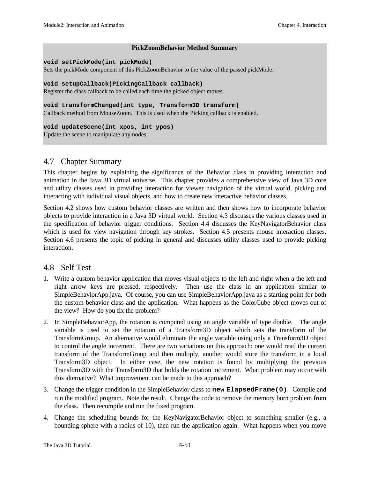#### **PickZoomBehavior Method Summary**

#### **void setPickMode(int pickMode)**

Sets the pickMode component of this PickZoomBehavior to the value of the passed pickMode.

#### **void setupCallback(PickingCallback callback)**

Register the class callback to be called each time the picked object moves.

#### **void transformChanged(int type, Transform3D transform)**

Callback method from MouseZoom. This is used when the Picking callback is enabled.

#### **void updateScene(int xpos, int ypos)**

Update the scene to manipulate any nodes.

#### 4.7 Chapter Summary

This chapter begins by explaining the significance of the Behavior class in providing interaction and animation in the Java 3D virtual universe. This chapter provides a comprehensive view of Java 3D core and utility classes used in providing interaction for viewer navigation of the virtual world, picking and interacting with individual visual objects, and how to create new interactive behavior classes.

Section 4.2 shows how custom behavior classes are written and then shows how to incorporate behavior objects to provide interaction in a Java 3D virtual world. Section 4.3 discusses the various classes used in the specification of behavior trigger conditions. Section 4.4 discusses the KeyNavigatorBehavior class which is used for view navigation through key strokes. Section 4.5 presents mouse interaction classes. Section 4.6 presents the topic of picking in general and discusses utility classes used to provide picking interaction.

#### 4.8 Self Test

- 1. Write a custom behavior application that moves visual objects to the left and right when a the left and right arrow keys are pressed, respectively. Then use the class in an application similar to SimpleBehaviorApp.java. Of course, you can use SimpleBehaviorApp.java as a starting point for both the custom behavior class and the application. What happens as the ColorCube object moves out of the view? How do you fix the problem?
- 2. In SimpleBehaviorApp, the rotation is computed using an angle variable of type double. The angle variable is used to set the rotation of a Transform3D object which sets the transform of the TransformGroup. An alternative would eliminate the angle variable using only a Transform3D object to control the angle increment. There are two variations on this approach: one would read the current transform of the TransformGroup and then multiply, another would store the transform in a local Transform3D object. In either case, the new rotation is found by multiplying the previous Transform3D with the Transform3D that holds the rotation increment. What problem may occur with this alternative? What improvement can be made to this approach?
- 3. Change the trigger condition in the SimpleBehavior class to **new ElapsedFrame(0)**. Compile and run the modified program. Note the result. Change the code to remove the memory burn problem from the class. Then recompile and run the fixed program.
- 4. Change the scheduling bounds for the KeyNavigatorBehavior object to something smaller (e.g., a bounding sphere with a radius of 10), then run the application again. What happens when you move